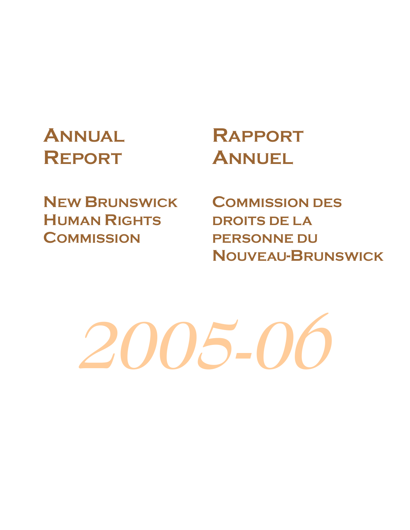# **ANNUAL REPORT**

# **RAPPORT ANNUEL**

**NEW BRUNSWICK HUMAN RIGHTS COMMISSION**

**COMMISSION DES DROITS DE LA PERSONNE DU NOUVEAU-BRUNSWICK**

2005-0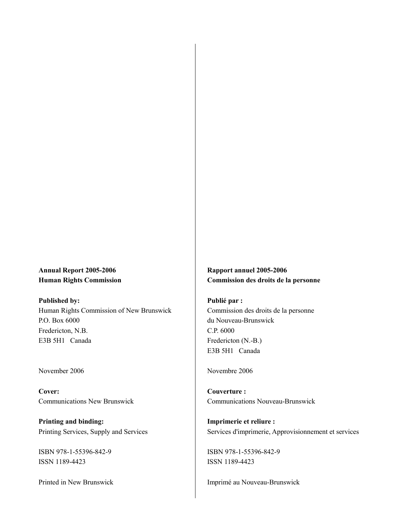### **Annual Report 2005-2006 Human Rights Commission**

**Published by:**  Human Rights Commission of New Brunswick P.O. Box 6000 Fredericton, N.B. E3B 5H1 Canada

#### November 2006

**Cover:**  Communications New Brunswick

**Printing and binding:**  Printing Services, Supply and Services

ISBN 978-1-55396-842-9 ISSN 1189-4423

Printed in New Brunswick

**Rapport annuel 2005-2006 Commission des droits de la personne** 

**Publié par :**  Commission des droits de la personne du Nouveau-Brunswick C.P. 6000 Fredericton (N.-B.) E3B 5H1 Canada

Novembre 2006

**Couverture :**  Communications Nouveau-Brunswick

**Imprimerie et reliure :**  Services d'imprimerie, Approvisionnement et services

ISBN 978-1-55396-842-9 ISSN 1189-4423

Imprimé au Nouveau-Brunswick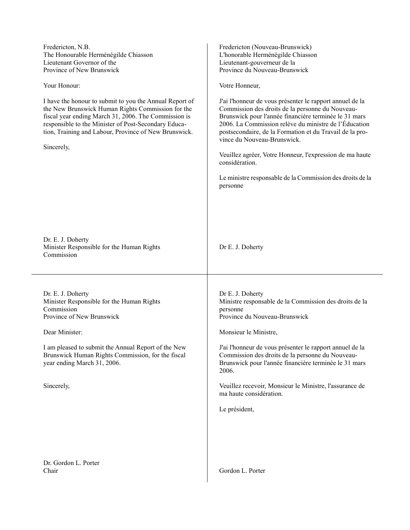| Fredericton, N.B.<br>The Honourable Herménégilde Chiasson<br>Lieutenant Governor of the<br>Province of New Brunswick<br>Your Honour:<br>I have the honour to submit to you the Annual Report of<br>the New Brunswick Human Rights Commission for the<br>fiscal year ending March 31, 2006. The Commission is<br>responsible to the Minister of Post-Secondary Educa-<br>tion, Training and Labour, Province of New Brunswick.<br>Sincerely, | Fredericton (Nouveau-Brunswick)<br>L'honorable Herménégilde Chiasson<br>Lieutenant-gouverneur de la<br>Province du Nouveau-Brunswick<br>Votre Honneur,<br>J'ai l'honneur de vous présenter le rapport annuel de la<br>Commission des droits de la personne du Nouveau-<br>Brunswick pour l'année financière terminée le 31 mars<br>2006. La Commission relève du ministre de l'Éducation<br>postsecondaire, de la Formation et du Travail de la pro-<br>vince du Nouveau-Brunswick.<br>Veuillez agréer, Votre Honneur, l'expression de ma haute<br>considération.<br>Le ministre responsable de la Commission des droits de la<br>personne |
|---------------------------------------------------------------------------------------------------------------------------------------------------------------------------------------------------------------------------------------------------------------------------------------------------------------------------------------------------------------------------------------------------------------------------------------------|--------------------------------------------------------------------------------------------------------------------------------------------------------------------------------------------------------------------------------------------------------------------------------------------------------------------------------------------------------------------------------------------------------------------------------------------------------------------------------------------------------------------------------------------------------------------------------------------------------------------------------------------|
| Dr. E. J. Doherty<br>Minister Responsible for the Human Rights<br>Commission                                                                                                                                                                                                                                                                                                                                                                | Dr E. J. Doherty                                                                                                                                                                                                                                                                                                                                                                                                                                                                                                                                                                                                                           |
| Dr. E. J. Doherty<br>Minister Responsible for the Human Rights<br>Commission<br>Province of New Brunswick<br>Dear Minister:<br>I am pleased to submit the Annual Report of the New<br>Brunswick Human Rights Commission, for the fiscal<br>year ending March 31, 2006.<br>Sincerely,                                                                                                                                                        | Dr E. J. Doherty<br>Ministre responsable de la Commission des droits de la<br>personne<br>Province du Nouveau-Brunswick<br>Monsieur le Ministre,<br>J'ai l'honneur de vous présenter le rapport annuel de la<br>Commission des droits de la personne du Nouveau-<br>Brunswick pour l'année financière terminée le 31 mars<br>2006.<br>Veuillez recevoir, Monsieur le Ministre, l'assurance de<br>ma haute considération.<br>Le président,                                                                                                                                                                                                  |
| Dr. Gordon L. Porter<br>Chair                                                                                                                                                                                                                                                                                                                                                                                                               | Gordon L. Porter                                                                                                                                                                                                                                                                                                                                                                                                                                                                                                                                                                                                                           |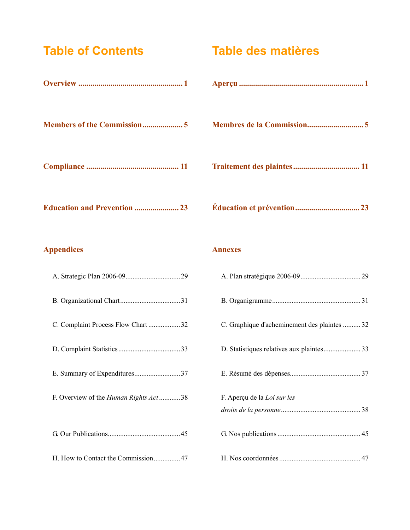## **Table of Contents**

| <b>Members of the Commission5</b>     |
|---------------------------------------|
|                                       |
| <b>Education and Prevention  23</b>   |
| <b>Appendices</b>                     |
|                                       |
|                                       |
| C. Complaint Process Flow Chart 32    |
|                                       |
| E. Summary of Expenditures37          |
| F. Overview of the Human Rights Act38 |
|                                       |
| H. How to Contact the Commission47    |

## **Table des matières**

### **Annexes**

| C. Graphique d'acheminement des plaintes 32 |
|---------------------------------------------|
|                                             |
|                                             |
| F. Aperçu de la Loi sur les                 |
|                                             |
|                                             |
|                                             |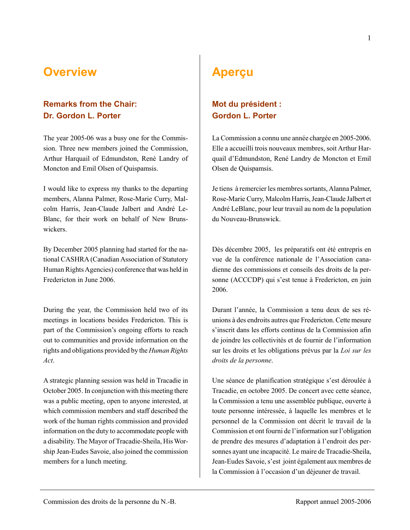## **Overview**

## **Remarks from the Chair: Dr. Gordon L. Porter**

The year 2005-06 was a busy one for the Commission. Three new members joined the Commission, Arthur Harquail of Edmundston, René Landry of Moncton and Emil Olsen of Quispamsis.

I would like to express my thanks to the departing members, Alanna Palmer, Rose-Marie Curry, Malcolm Harris, Jean-Claude Jalbert and André Le-Blanc, for their work on behalf of New Brunswickers.

By December 2005 planning had started for the national CASHRA (Canadian Association of Statutory Human Rights Agencies) conference that was held in Fredericton in June 2006.

During the year, the Commission held two of its meetings in locations besides Fredericton. This is part of the Commission's ongoing efforts to reach out to communities and provide information on the rights and obligations provided by the *Human Rights Act*.

A strategic planning session was held in Tracadie in October 2005. In conjunction with this meeting there was a public meeting, open to anyone interested, at which commission members and staff described the work of the human rights commission and provided information on the duty to accommodate people with a disability. The Mayor of Tracadie-Sheila, His Worship Jean-Eudes Savoie, also joined the commission members for a lunch meeting.

## **Aperçu**

## **Mot du président : Gordon L. Porter**

La Commission a connu une année chargée en 2005-2006. Elle a accueilli trois nouveaux membres, soit Arthur Harquail d'Edmundston, René Landry de Moncton et Emil Olsen de Quispamsis.

Je tiens à remercier les membres sortants, Alanna Palmer, Rose-Marie Curry, Malcolm Harris, Jean-Claude Jalbert et André LeBlanc, pour leur travail au nom de la population du Nouveau-Brunswick.

Dès décembre 2005, les préparatifs ont été entrepris en vue de la conférence nationale de l'Association canadienne des commissions et conseils des droits de la personne (ACCCDP) qui s'est tenue à Fredericton, en juin 2006.

Durant l'année, la Commission a tenu deux de ses réunions à des endroits autres que Fredericton. Cette mesure s'inscrit dans les efforts continus de la Commission afin de joindre les collectivités et de fournir de l'information sur les droits et les obligations prévus par la *Loi sur les droits de la personne*.

Une séance de planification stratégique s'est déroulée à Tracadie, en octobre 2005. De concert avec cette séance, la Commission a tenu une assemblée publique, ouverte à toute personne intéressée, à laquelle les membres et le personnel de la Commission ont décrit le travail de la Commission et ont fourni de l'information sur l'obligation de prendre des mesures d'adaptation à l'endroit des personnes ayant une incapacité. Le maire de Tracadie-Sheila, Jean-Eudes Savoie, s'est joint également aux membres de la Commission à l'occasion d'un déjeuner de travail.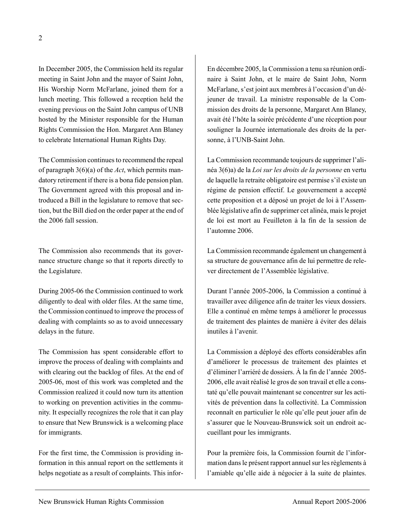In December 2005, the Commission held its regular meeting in Saint John and the mayor of Saint John, His Worship Norm McFarlane, joined them for a lunch meeting. This followed a reception held the evening previous on the Saint John campus of UNB hosted by the Minister responsible for the Human Rights Commission the Hon. Margaret Ann Blaney to celebrate International Human Rights Day.

The Commission continues to recommend the repeal of paragraph 3(6)(a) of the *Act*, which permits mandatory retirement if there is a bona fide pension plan. The Government agreed with this proposal and introduced a Bill in the legislature to remove that section, but the Bill died on the order paper at the end of the 2006 fall session.

The Commission also recommends that its governance structure change so that it reports directly to the Legislature.

During 2005-06 the Commission continued to work diligently to deal with older files. At the same time, the Commission continued to improve the process of dealing with complaints so as to avoid unnecessary delays in the future.

The Commission has spent considerable effort to improve the process of dealing with complaints and with clearing out the backlog of files. At the end of 2005-06, most of this work was completed and the Commission realized it could now turn its attention to working on prevention activities in the community. It especially recognizes the role that it can play to ensure that New Brunswick is a welcoming place for immigrants.

For the first time, the Commission is providing information in this annual report on the settlements it helps negotiate as a result of complaints. This inforEn décembre 2005, la Commission a tenu sa réunion ordinaire à Saint John, et le maire de Saint John, Norm McFarlane, s'est joint aux membres à l'occasion d'un déjeuner de travail. La ministre responsable de la Commission des droits de la personne, Margaret Ann Blaney, avait été l'hôte la soirée précédente d'une réception pour souligner la Journée internationale des droits de la personne, à l'UNB-Saint John.

La Commission recommande toujours de supprimer l'alinéa 3(6)a) de la *Loi sur les droits de la personne* en vertu de laquelle la retraite obligatoire est permise s'il existe un régime de pension effectif. Le gouvernement a accepté cette proposition et a déposé un projet de loi à l'Assemblée législative afin de supprimer cet alinéa, mais le projet de loi est mort au Feuilleton à la fin de la session de l'automne 2006.

La Commission recommande également un changement à sa structure de gouvernance afin de lui permettre de relever directement de l'Assemblée législative.

Durant l'année 2005-2006, la Commission a continué à travailler avec diligence afin de traiter les vieux dossiers. Elle a continué en même temps à améliorer le processus de traitement des plaintes de manière à éviter des délais inutiles à l'avenir.

La Commission a déployé des efforts considérables afin d'améliorer le processus de traitement des plaintes et d'éliminer l'arriéré de dossiers. À la fin de l'année 2005- 2006, elle avait réalisé le gros de son travail et elle a constaté qu'elle pouvait maintenant se concentrer sur les activités de prévention dans la collectivité. La Commission reconnaît en particulier le rôle qu'elle peut jouer afin de s'assurer que le Nouveau-Brunswick soit un endroit accueillant pour les immigrants.

Pour la première fois, la Commission fournit de l'information dans le présent rapport annuel sur les règlements à l'amiable qu'elle aide à négocier à la suite de plaintes.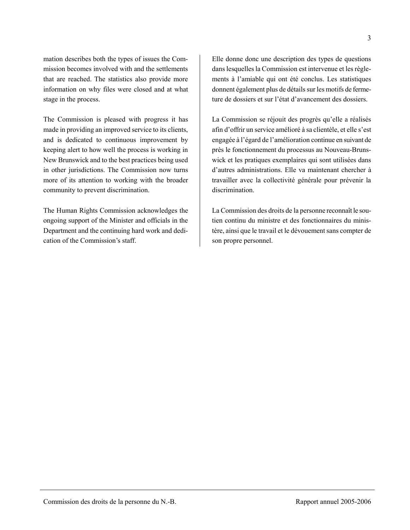mation describes both the types of issues the Commission becomes involved with and the settlements that are reached. The statistics also provide more information on why files were closed and at what stage in the process.

The Commission is pleased with progress it has made in providing an improved service to its clients, and is dedicated to continuous improvement by keeping alert to how well the process is working in New Brunswick and to the best practices being used in other jurisdictions. The Commission now turns more of its attention to working with the broader community to prevent discrimination.

The Human Rights Commission acknowledges the ongoing support of the Minister and officials in the Department and the continuing hard work and dedication of the Commission's staff.

Elle donne donc une description des types de questions dans lesquelles la Commission est intervenue et les règlements à l'amiable qui ont été conclus. Les statistiques donnent également plus de détails sur les motifs de fermeture de dossiers et sur l'état d'avancement des dossiers.

La Commission se réjouit des progrès qu'elle a réalisés afin d'offrir un service amélioré à sa clientèle, et elle s'est engagée à l'égard de l'amélioration continue en suivant de près le fonctionnement du processus au Nouveau-Brunswick et les pratiques exemplaires qui sont utilisées dans d'autres administrations. Elle va maintenant chercher à travailler avec la collectivité générale pour prévenir la discrimination.

La Commission des droits de la personne reconnaît le soutien continu du ministre et des fonctionnaires du ministère, ainsi que le travail et le dévouement sans compter de son propre personnel.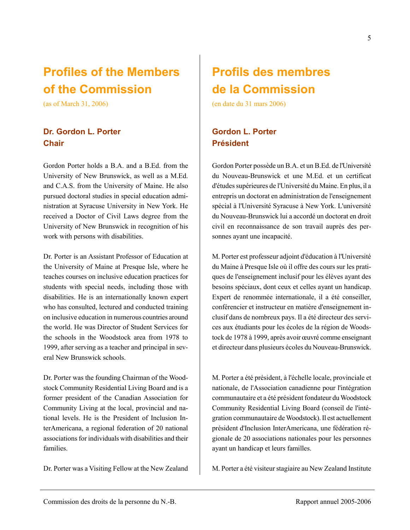## **Profiles of the Members of the Commission**

(as of March 31, 2006)

### **Dr. Gordon L. Porter Chair**

Gordon Porter holds a B.A. and a B.Ed. from the University of New Brunswick, as well as a M.Ed. and C.A.S. from the University of Maine. He also pursued doctoral studies in special education administration at Syracuse University in New York. He received a Doctor of Civil Laws degree from the University of New Brunswick in recognition of his work with persons with disabilities.

Dr. Porter is an Assistant Professor of Education at the University of Maine at Presque Isle, where he teaches courses on inclusive education practices for students with special needs, including those with disabilities. He is an internationally known expert who has consulted, lectured and conducted training on inclusive education in numerous countries around the world. He was Director of Student Services for the schools in the Woodstock area from 1978 to 1999, after serving as a teacher and principal in several New Brunswick schools.

Dr. Porter was the founding Chairman of the Woodstock Community Residential Living Board and is a former president of the Canadian Association for Community Living at the local, provincial and national levels. He is the President of Inclusion InterAmericana, a regional federation of 20 national associations for individuals with disabilities and their families.

Dr. Porter was a Visiting Fellow at the New Zealand

## **Profils des membres de la Commission**

(en date du 31 mars 2006)

## **Gordon L. Porter Président**

Gordon Porter possède un B.A. et un B.Ed. de l'Université du Nouveau-Brunswick et une M.Ed. et un certificat d'études supérieures de l'Université du Maine. En plus, il a entrepris un doctorat en administration de l'enseignement spécial à l'Université Syracuse à New York. L'université du Nouveau-Brunswick lui a accordé un doctorat en droit civil en reconnaissance de son travail auprès des personnes ayant une incapacité.

M. Porter est professeur adjoint d'éducation à l'Université du Maine à Presque Isle où il offre des cours sur les pratiques de l'enseignement inclusif pour les élèves ayant des besoins spéciaux, dont ceux et celles ayant un handicap. Expert de renommée internationale, il a été conseiller, conférencier et instructeur en matière d'enseignement inclusif dans de nombreux pays. Il a été directeur des services aux étudiants pour les écoles de la région de Woodstock de 1978 à 1999, après avoir œuvré comme enseignant et directeur dans plusieurs écoles du Nouveau-Brunswick.

M. Porter a été président, à l'échelle locale, provinciale et nationale, de l'Association canadienne pour l'intégration communautaire et a été président fondateur du Woodstock Community Residential Living Board (conseil de l'intégration communautaire de Woodstock). Il est actuellement président d'Inclusion InterAmericana, une fédération régionale de 20 associations nationales pour les personnes ayant un handicap et leurs familles.

M. Porter a été visiteur stagiaire au New Zealand Institute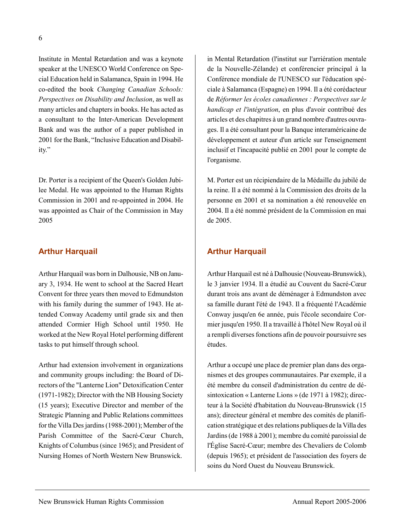Institute in Mental Retardation and was a keynote speaker at the UNESCO World Conference on Special Education held in Salamanca, Spain in 1994. He co-edited the book *Changing Canadian Schools: Perspectives on Disability and Inclusion*, as well as many articles and chapters in books. He has acted as a consultant to the Inter-American Development Bank and was the author of a paper published in 2001 for the Bank, "Inclusive Education and Disability."

Dr. Porter is a recipient of the Queen's Golden Jubilee Medal. He was appointed to the Human Rights Commission in 2001 and re-appointed in 2004. He was appointed as Chair of the Commission in May 2005

#### **Arthur Harquail**

Arthur Harquail was born in Dalhousie, NB on January 3, 1934. He went to school at the Sacred Heart Convent for three years then moved to Edmundston with his family during the summer of 1943. He attended Conway Academy until grade six and then attended Cormier High School until 1950. He worked at the New Royal Hotel performing different tasks to put himself through school.

Arthur had extension involvement in organizations and community groups including: the Board of Directors of the "Lanterne Lion" Detoxification Center (1971-1982); Director with the NB Housing Society (15 years); Executive Director and member of the Strategic Planning and Public Relations committees for the Villa Des jardins (1988-2001); Member of the Parish Committee of the Sacré-Cœur Church, Knights of Columbus (since 1965); and President of Nursing Homes of North Western New Brunswick.

in Mental Retardation (l'institut sur l'arriération mentale de la Nouvelle-Zélande) et conférencier principal à la Conférence mondiale de l'UNESCO sur l'éducation spéciale à Salamanca (Espagne) en 1994. Il a été corédacteur de *Réformer les écoles canadiennes : Perspectives sur le handicap et l'intégration*, en plus d'avoir contribué des articles et des chapitres à un grand nombre d'autres ouvrages. Il a été consultant pour la Banque interaméricaine de développement et auteur d'un article sur l'enseignement inclusif et l'incapacité publié en 2001 pour le compte de l'organisme.

M. Porter est un récipiendaire de la Médaille du jubilé de la reine. Il a été nommé à la Commission des droits de la personne en 2001 et sa nomination a été renouvelée en 2004. Il a été nommé président de la Commission en mai de 2005.

### **Arthur Harquail**

Arthur Harquail est né à Dalhousie (Nouveau-Brunswick), le 3 janvier 1934. Il a étudié au Couvent du Sacré-Cœur durant trois ans avant de déménager à Edmundston avec sa famille durant l'été de 1943. Il a fréquenté l'Académie Conway jusqu'en 6e année, puis l'école secondaire Cormier jusqu'en 1950. Il a travaillé à l'hôtel New Royal où il a rempli diverses fonctions afin de pouvoir poursuivre ses études.

Arthur a occupé une place de premier plan dans des organismes et des groupes communautaires. Par exemple, il a été membre du conseil d'administration du centre de désintoxication « Lanterne Lions » (de 1971 à 1982); directeur à la Société d'habitation du Nouveau-Brunswick (15 ans); directeur général et membre des comités de planification stratégique et des relations publiques de la Villa des Jardins (de 1988 à 2001); membre du comité paroissial de l'Église Sacré-Cœur; membre des Chevaliers de Colomb (depuis 1965); et président de l'association des foyers de soins du Nord Ouest du Nouveau Brunswick.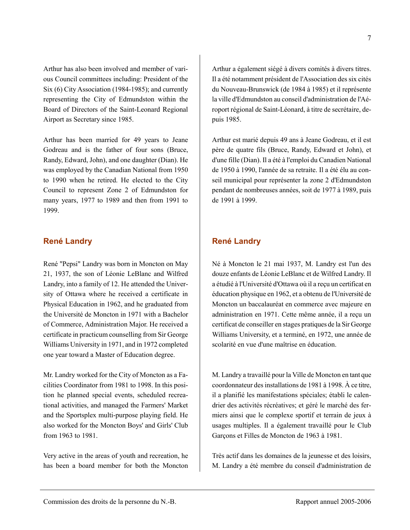Arthur has also been involved and member of various Council committees including: President of the Six (6) City Association (1984-1985); and currently representing the City of Edmundston within the Board of Directors of the Saint-Leonard Regional Airport as Secretary since 1985.

Arthur has been married for 49 years to Jeane Godreau and is the father of four sons (Bruce, Randy, Edward, John), and one daughter (Dian). He was employed by the Canadian National from 1950 to 1990 when he retired. He elected to the City Council to represent Zone 2 of Edmundston for many years, 1977 to 1989 and then from 1991 to 1999.

#### **René Landry**

René "Pepsi" Landry was born in Moncton on May 21, 1937, the son of Léonie LeBlanc and Wilfred Landry, into a family of 12. He attended the University of Ottawa where he received a certificate in Physical Education in 1962, and he graduated from the Université de Moncton in 1971 with a Bachelor of Commerce, Administration Major. He received a certificate in practicum counselling from Sir George Williams University in 1971, and in 1972 completed one year toward a Master of Education degree.

Mr. Landry worked for the City of Moncton as a Facilities Coordinator from 1981 to 1998. In this position he planned special events, scheduled recreational activities, and managed the Farmers' Market and the Sportsplex multi-purpose playing field. He also worked for the Moncton Boys' and Girls' Club from 1963 to 1981.

Very active in the areas of youth and recreation, he has been a board member for both the Moncton Arthur a également siégé à divers comités à divers titres. Il a été notamment président de l'Association des six cités du Nouveau-Brunswick (de 1984 à 1985) et il représente la ville d'Edmundston au conseil d'administration de l'Aéroport régional de Saint-Léonard, à titre de secrétaire, depuis 1985.

Arthur est marié depuis 49 ans à Jeane Godreau, et il est père de quatre fils (Bruce, Randy, Edward et John), et d'une fille (Dian). Il a été à l'emploi du Canadien National de 1950 à 1990, l'année de sa retraite. Il a été élu au conseil municipal pour représenter la zone 2 d'Edmundston pendant de nombreuses années, soit de 1977 à 1989, puis de 1991 à 1999.

### **René Landry**

Né à Moncton le 21 mai 1937, M. Landry est l'un des douze enfants de Léonie LeBlanc et de Wilfred Landry. Il a étudié à l'Université d'Ottawa où il a reçu un certificat en éducation physique en 1962, et a obtenu de l'Université de Moncton un baccalauréat en commerce avec majeure en administration en 1971. Cette même année, il a reçu un certificat de conseiller en stages pratiques de la Sir George Williams University, et a terminé, en 1972, une année de scolarité en vue d'une maîtrise en éducation.

M. Landry a travaillé pour la Ville de Moncton en tant que coordonnateur des installations de 1981 à 1998. À ce titre, il a planifié les manifestations spéciales; établi le calendrier des activités récréatives; et géré le marché des fermiers ainsi que le complexe sportif et terrain de jeux à usages multiples. Il a également travaillé pour le Club Garçons et Filles de Moncton de 1963 à 1981.

Très actif dans les domaines de la jeunesse et des loisirs, M. Landry a été membre du conseil d'administration de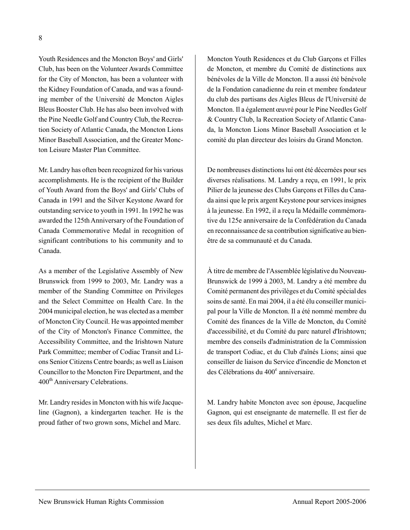Youth Residences and the Moncton Boys' and Girls' Club, has been on the Volunteer Awards Committee for the City of Moncton, has been a volunteer with the Kidney Foundation of Canada, and was a founding member of the Université de Moncton Aigles Bleus Booster Club. He has also been involved with the Pine Needle Golf and Country Club, the Recreation Society of Atlantic Canada, the Moncton Lions Minor Baseball Association, and the Greater Moncton Leisure Master Plan Committee.

Mr. Landry has often been recognized for his various accomplishments. He is the recipient of the Builder of Youth Award from the Boys' and Girls' Clubs of Canada in 1991 and the Silver Keystone Award for outstanding service to youth in 1991. In 1992 he was awarded the 125th Anniversary of the Foundation of Canada Commemorative Medal in recognition of significant contributions to his community and to Canada.

As a member of the Legislative Assembly of New Brunswick from 1999 to 2003, Mr. Landry was a member of the Standing Committee on Privileges and the Select Committee on Health Care. In the 2004 municipal election, he was elected as a member of Moncton City Council. He was appointed member of the City of Moncton's Finance Committee, the Accessibility Committee, and the Irishtown Nature Park Committee; member of Codiac Transit and Lions Senior Citizens Centre boards; as well as Liaison Councillor to the Moncton Fire Department, and the 400<sup>th</sup> Anniversary Celebrations.

Mr. Landry resides in Moncton with his wife Jacqueline (Gagnon), a kindergarten teacher. He is the proud father of two grown sons, Michel and Marc.

Moncton Youth Residences et du Club Garçons et Filles de Moncton, et membre du Comité de distinctions aux bénévoles de la Ville de Moncton. Il a aussi été bénévole de la Fondation canadienne du rein et membre fondateur du club des partisans des Aigles Bleus de l'Université de Moncton. Il a également œuvré pour le Pine Needles Golf & Country Club, la Recreation Society of Atlantic Canada, la Moncton Lions Minor Baseball Association et le comité du plan directeur des loisirs du Grand Moncton.

De nombreuses distinctions lui ont été décernées pour ses diverses réalisations. M. Landry a reçu, en 1991, le prix Pilier de la jeunesse des Clubs Garçons et Filles du Canada ainsi que le prix argent Keystone pour services insignes à la jeunesse. En 1992, il a reçu la Médaille commémorative du 125e anniversaire de la Confédération du Canada en reconnaissance de sa contribution significative au bienêtre de sa communauté et du Canada.

À titre de membre de l'Assemblée législative du Nouveau-Brunswick de 1999 à 2003, M. Landry a été membre du Comité permanent des privilèges et du Comité spécial des soins de santé. En mai 2004, il a été élu conseiller municipal pour la Ville de Moncton. Il a été nommé membre du Comité des finances de la Ville de Moncton, du Comité d'accessibilité, et du Comité du parc naturel d'Irishtown; membre des conseils d'administration de la Commission de transport Codiac, et du Club d'aînés Lions; ainsi que conseiller de liaison du Service d'incendie de Moncton et des Célébrations du 400<sup>e</sup> anniversaire.

M. Landry habite Moncton avec son épouse, Jacqueline Gagnon, qui est enseignante de maternelle. Il est fier de ses deux fils adultes, Michel et Marc.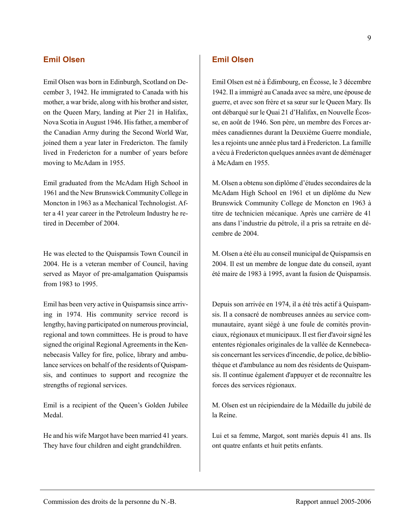### **Emil Olsen**

Emil Olsen was born in Edinburgh, Scotland on December 3, 1942. He immigrated to Canada with his mother, a war bride, along with his brother and sister, on the Queen Mary, landing at Pier 21 in Halifax, Nova Scotia in August 1946. His father, a member of the Canadian Army during the Second World War, joined them a year later in Fredericton. The family lived in Fredericton for a number of years before moving to McAdam in 1955.

Emil graduated from the McAdam High School in 1961 and the New Brunswick Community College in Moncton in 1963 as a Mechanical Technologist. After a 41 year career in the Petroleum Industry he retired in December of 2004.

He was elected to the Quispamsis Town Council in 2004. He is a veteran member of Council, having served as Mayor of pre-amalgamation Quispamsis from 1983 to 1995.

Emil has been very active in Quispamsis since arriving in 1974. His community service record is lengthy, having participated on numerous provincial, regional and town committees. He is proud to have signed the original Regional Agreements in the Kennebecasis Valley for fire, police, library and ambulance services on behalf of the residents of Quispamsis, and continues to support and recognize the strengths of regional services.

Emil is a recipient of the Queen's Golden Jubilee Medal.

He and his wife Margot have been married 41 years. They have four children and eight grandchildren.

## **Emil Olsen**

Emil Olsen est né à Édimbourg, en Écosse, le 3 décembre 1942. Il a immigré au Canada avec sa mère, une épouse de guerre, et avec son frère et sa sœur sur le Queen Mary. Ils ont débarqué sur le Quai 21 d'Halifax, en Nouvelle Écosse, en août de 1946. Son père, un membre des Forces armées canadiennes durant la Deuxième Guerre mondiale, les a rejoints une année plus tard à Fredericton. La famille a vécu à Fredericton quelques années avant de déménager à McAdam en 1955.

M. Olsen a obtenu son diplôme d'études secondaires de la McAdam High School en 1961 et un diplôme du New Brunswick Community College de Moncton en 1963 à titre de technicien mécanique. Après une carrière de 41 ans dans l'industrie du pétrole, il a pris sa retraite en décembre de 2004.

M. Olsen a été élu au conseil municipal de Quispamsis en 2004. Il est un membre de longue date du conseil, ayant été maire de 1983 à 1995, avant la fusion de Quispamsis.

Depuis son arrivée en 1974, il a été très actif à Quispamsis. Il a consacré de nombreuses années au service communautaire, ayant siégé à une foule de comités provinciaux, régionaux et municipaux. Il est fier d'avoir signé les ententes régionales originales de la vallée de Kennebecasis concernant les services d'incendie, de police, de bibliothèque et d'ambulance au nom des résidents de Quispamsis. Il continue également d'appuyer et de reconnaître les forces des services régionaux.

M. Olsen est un récipiendaire de la Médaille du jubilé de la Reine.

Lui et sa femme, Margot, sont mariés depuis 41 ans. Ils ont quatre enfants et huit petits enfants.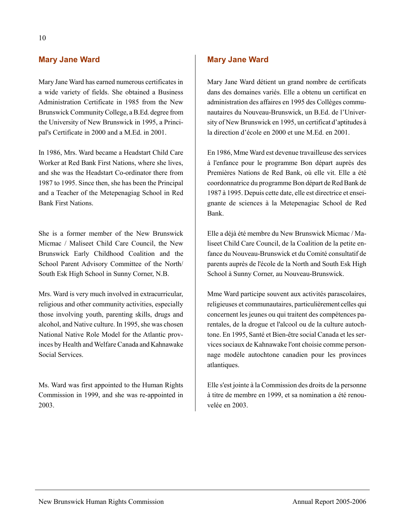### **Mary Jane Ward**

Mary Jane Ward has earned numerous certificates in a wide variety of fields. She obtained a Business Administration Certificate in 1985 from the New Brunswick Community College, a B.Ed. degree from the University of New Brunswick in 1995, a Principal's Certificate in 2000 and a M.Ed. in 2001.

In 1986, Mrs. Ward became a Headstart Child Care Worker at Red Bank First Nations, where she lives, and she was the Headstart Co-ordinator there from 1987 to 1995. Since then, she has been the Principal and a Teacher of the Metepenagiag School in Red Bank First Nations.

She is a former member of the New Brunswick Micmac / Maliseet Child Care Council, the New Brunswick Early Childhood Coalition and the School Parent Advisory Committee of the North/ South Esk High School in Sunny Corner, N.B.

Mrs. Ward is very much involved in extracurricular, religious and other community activities, especially those involving youth, parenting skills, drugs and alcohol, and Native culture. In 1995, she was chosen National Native Role Model for the Atlantic provinces by Health and Welfare Canada and Kahnawake Social Services.

Ms. Ward was first appointed to the Human Rights Commission in 1999, and she was re-appointed in 2003.

### **Mary Jane Ward**

Mary Jane Ward détient un grand nombre de certificats dans des domaines variés. Elle a obtenu un certificat en administration des affaires en 1995 des Collèges communautaires du Nouveau-Brunswick, un B.Ed. de l'University of New Brunswick en 1995, un certificat d'aptitudes à la direction d'école en 2000 et une M.Ed. en 2001.

En 1986, Mme Ward est devenue travailleuse des services à l'enfance pour le programme Bon départ auprès des Premières Nations de Red Bank, où elle vit. Elle a été coordonnatrice du programme Bon départ de Red Bank de 1987 à 1995. Depuis cette date, elle est directrice et enseignante de sciences à la Metepenagiac School de Red Bank.

Elle a déjà été membre du New Brunswick Micmac / Maliseet Child Care Council, de la Coalition de la petite enfance du Nouveau-Brunswick et du Comité consultatif de parents auprès de l'école de la North and South Esk High School à Sunny Corner, au Nouveau-Brunswick.

Mme Ward participe souvent aux activités parascolaires, religieuses et communautaires, particulièrement celles qui concernent les jeunes ou qui traitent des compétences parentales, de la drogue et l'alcool ou de la culture autochtone. En 1995, Santé et Bien-être social Canada et les services sociaux de Kahnawake l'ont choisie comme personnage modèle autochtone canadien pour les provinces atlantiques.

Elle s'est jointe à la Commission des droits de la personne à titre de membre en 1999, et sa nomination a été renouvelée en 2003.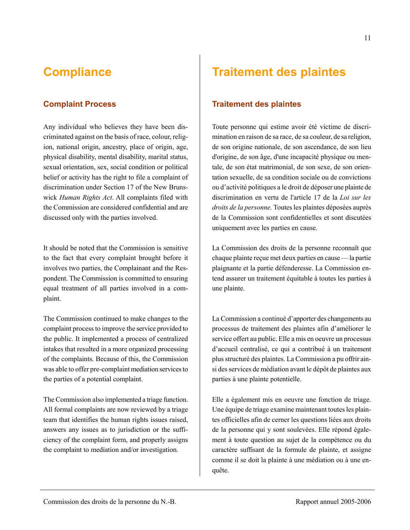## **Compliance**

### **Complaint Process**

Any individual who believes they have been discriminated against on the basis of race, colour, religion, national origin, ancestry, place of origin, age, physical disability, mental disability, marital status, sexual orientation, sex, social condition or political belief or activity has the right to file a complaint of discrimination under Section 17 of the New Brunswick *Human Rights Act*. All complaints filed with the Commission are considered confidential and are discussed only with the parties involved.

It should be noted that the Commission is sensitive to the fact that every complaint brought before it involves two parties, the Complainant and the Respondent. The Commission is committed to ensuring equal treatment of all parties involved in a complaint.

The Commission continued to make changes to the complaint process to improve the service provided to the public. It implemented a process of centralized intakes that resulted in a more organized processing of the complaints. Because of this, the Commission was able to offer pre-complaint mediation services to the parties of a potential complaint.

The Commission also implemented a triage function. All formal complaints are now reviewed by a triage team that identifies the human rights issues raised, answers any issues as to jurisdiction or the sufficiency of the complaint form, and properly assigns the complaint to mediation and/or investigation.

## **Traitement des plaintes**

### **Traitement des plaintes**

Toute personne qui estime avoir été victime de discrimination en raison de sa race, de sa couleur, de sa religion, de son origine nationale, de son ascendance, de son lieu d'origine, de son âge, d'une incapacité physique ou mentale, de son état matrimonial, de son sexe, de son orientation sexuelle, de sa condition sociale ou de convictions ou d'activité politiques a le droit de déposer une plainte de discrimination en vertu de l'article 17 de la *Loi sur les droits de la personne.* Toutes les plaintes déposées auprès de la Commission sont confidentielles et sont discutées uniquement avec les parties en cause.

La Commission des droits de la personne reconnaît que chaque plainte reçue met deux parties en cause — la partie plaignante et la partie défenderesse. La Commission entend assurer un traitement équitable à toutes les parties à une plainte.

La Commission a continué d'apporter des changements au processus de traitement des plaintes afin d'améliorer le service offert au public. Elle a mis en oeuvre un processus d'accueil centralisé, ce qui a contribué à un traitement plus structuré des plaintes. La Commission a pu offrir ainsi des services de médiation avant le dépôt de plaintes aux parties à une plainte potentielle.

Elle a également mis en oeuvre une fonction de triage. Une équipe de triage examine maintenant toutes les plaintes officielles afin de cerner les questions liées aux droits de la personne qui y sont soulevées. Elle répond également à toute question au sujet de la compétence ou du caractère suffisant de la formule de plainte, et assigne comme il se doit la plainte à une médiation ou à une enquête.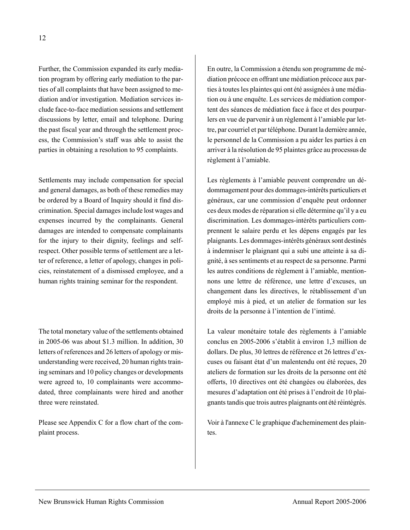Further, the Commission expanded its early mediation program by offering early mediation to the parties of all complaints that have been assigned to mediation and/or investigation. Mediation services include face-to-face mediation sessions and settlement discussions by letter, email and telephone. During the past fiscal year and through the settlement process, the Commission's staff was able to assist the parties in obtaining a resolution to 95 complaints.

Settlements may include compensation for special and general damages, as both of these remedies may be ordered by a Board of Inquiry should it find discrimination. Special damages include lost wages and expenses incurred by the complainants. General damages are intended to compensate complainants for the injury to their dignity, feelings and selfrespect. Other possible terms of settlement are a letter of reference, a letter of apology, changes in policies, reinstatement of a dismissed employee, and a human rights training seminar for the respondent.

The total monetary value of the settlements obtained in 2005-06 was about \$1.3 million. In addition, 30 letters of references and 26 letters of apology or misunderstanding were received, 20 human rights training seminars and 10 policy changes or developments were agreed to, 10 complainants were accommodated, three complainants were hired and another three were reinstated.

Please see Appendix C for a flow chart of the complaint process.

En outre, la Commission a étendu son programme de médiation précoce en offrant une médiation précoce aux parties à toutes les plaintes qui ont été assignées à une médiation ou à une enquête. Les services de médiation comportent des séances de médiation face à face et des pourparlers en vue de parvenir à un règlement à l'amiable par lettre, par courriel et par téléphone. Durant la dernière année, le personnel de la Commission a pu aider les parties à en arriver à la résolution de 95 plaintes grâce au processus de règlement à l'amiable.

Les règlements à l'amiable peuvent comprendre un dédommagement pour des dommages-intérêts particuliers et généraux, car une commission d'enquête peut ordonner ces deux modes de réparation si elle détermine qu'il y a eu discrimination. Les dommages-intérêts particuliers comprennent le salaire perdu et les dépens engagés par les plaignants. Les dommages-intérêts généraux sont destinés à indemniser le plaignant qui a subi une atteinte à sa dignité, à ses sentiments et au respect de sa personne. Parmi les autres conditions de règlement à l'amiable, mentionnons une lettre de référence, une lettre d'excuses, un changement dans les directives, le rétablissement d'un employé mis à pied, et un atelier de formation sur les droits de la personne à l'intention de l'intimé.

La valeur monétaire totale des règlements à l'amiable conclus en 2005-2006 s'établit à environ 1,3 million de dollars. De plus, 30 lettres de référence et 26 lettres d'excuses ou faisant état d'un malentendu ont été reçues, 20 ateliers de formation sur les droits de la personne ont été offerts, 10 directives ont été changées ou élaborées, des mesures d'adaptation ont été prises à l'endroit de 10 plaignants tandis que trois autres plaignants ont été réintégrés.

Voir à l'annexe C le graphique d'acheminement des plaintes.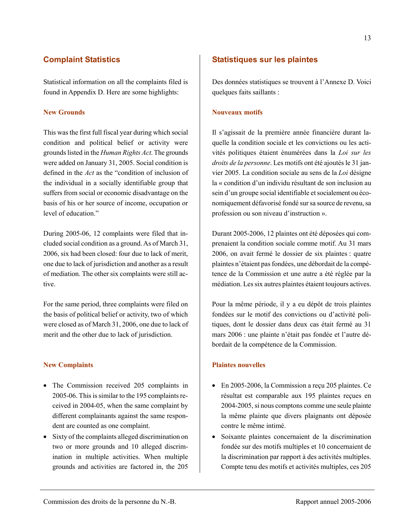### **Complaint Statistics**

Statistical information on all the complaints filed is found in Appendix D. Here are some highlights:

#### **New Grounds**

This was the first full fiscal year during which social condition and political belief or activity were grounds listed in the *Human Rights Act*. The grounds were added on January 31, 2005. Social condition is defined in the *Act* as the "condition of inclusion of the individual in a socially identifiable group that suffers from social or economic disadvantage on the basis of his or her source of income, occupation or level of education."

During 2005-06, 12 complaints were filed that included social condition as a ground. As of March 31, 2006, six had been closed: four due to lack of merit, one due to lack of jurisdiction and another as a result of mediation. The other six complaints were still active.

For the same period, three complaints were filed on the basis of political belief or activity, two of which were closed as of March 31, 2006, one due to lack of merit and the other due to lack of jurisdiction.

#### **New Complaints**

- The Commission received 205 complaints in 2005-06. This is similar to the 195 complaints received in 2004-05, when the same complaint by different complainants against the same respondent are counted as one complaint.
- Sixty of the complaints alleged discrimination on two or more grounds and 10 alleged discrimination in multiple activities. When multiple grounds and activities are factored in, the 205

### **Statistiques sur les plaintes**

Des données statistiques se trouvent à l'Annexe D. Voici quelques faits saillants :

#### **Nouveaux motifs**

Il s'agissait de la première année financière durant laquelle la condition sociale et les convictions ou les activités politiques étaient énumérées dans la *Loi sur les droits de la personne*. Les motifs ont été ajoutés le 31 janvier 2005. La condition sociale au sens de la *Loi* désigne la « condition d'un individu résultant de son inclusion au sein d'un groupe social identifiable et socialement ou économiquement défavorisé fondé sur sa source de revenu, sa profession ou son niveau d'instruction ».

Durant 2005-2006, 12 plaintes ont été déposées qui comprenaient la condition sociale comme motif. Au 31 mars 2006, on avait fermé le dossier de six plaintes : quatre plaintes n'étaient pas fondées, une débordait de la compétence de la Commission et une autre a été réglée par la médiation. Les six autres plaintes étaient toujours actives.

Pour la même période, il y a eu dépôt de trois plaintes fondées sur le motif des convictions ou d'activité politiques, dont le dossier dans deux cas était fermé au 31 mars 2006 : une plainte n'était pas fondée et l'autre débordait de la compétence de la Commission.

#### **Plaintes nouvelles**

- En 2005-2006, la Commission a reçu 205 plaintes. Ce résultat est comparable aux 195 plaintes reçues en 2004-2005, si nous comptons comme une seule plainte la même plainte que divers plaignants ont déposée contre le même intimé.
- Soixante plaintes concernaient de la discrimination fondée sur des motifs multiples et 10 concernaient de la discrimination par rapport à des activités multiples. Compte tenu des motifs et activités multiples, ces 205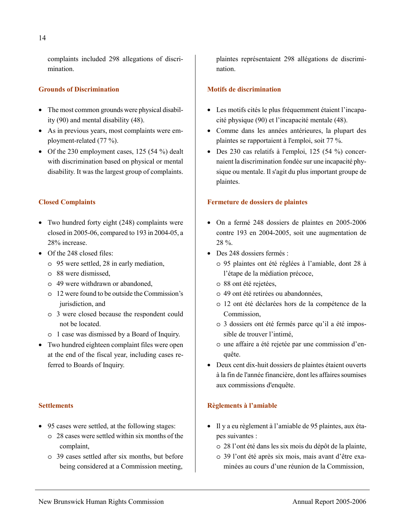complaints included 298 allegations of discrimination.

#### **Grounds of Discrimination**

- The most common grounds were physical disability (90) and mental disability (48).
- As in previous years, most complaints were employment-related (77 %).
- Of the 230 employment cases, 125 (54 %) dealt with discrimination based on physical or mental disability. It was the largest group of complaints.

#### **Closed Complaints**

- Two hundred forty eight (248) complaints were closed in 2005-06, compared to 193 in 2004-05, a 28% increase.
- Of the 248 closed files:
	- o 95 were settled, 28 in early mediation,
	- o 88 were dismissed,
	- o 49 were withdrawn or abandoned,
	- o 12 were found to be outside the Commission's jurisdiction, and
	- o 3 were closed because the respondent could not be located.
	- o 1 case was dismissed by a Board of Inquiry.
- Two hundred eighteen complaint files were open at the end of the fiscal year, including cases referred to Boards of Inquiry.

#### **Settlements**

- 95 cases were settled, at the following stages:
	- o 28 cases were settled within six months of the complaint,
	- o 39 cases settled after six months, but before being considered at a Commission meeting,

plaintes représentaient 298 allégations de discrimination.

#### **Motifs de discrimination**

- Les motifs cités le plus fréquemment étaient l'incapacité physique (90) et l'incapacité mentale (48).
- Comme dans les années antérieures, la plupart des plaintes se rapportaient à l'emploi, soit 77 %.
- Des 230 cas relatifs à l'emploi, 125 (54 %) concernaient la discrimination fondée sur une incapacité physique ou mentale. Il s'agit du plus important groupe de plaintes.

#### **Fermeture de dossiers de plaintes**

- On a fermé 248 dossiers de plaintes en 2005-2006 contre 193 en 2004-2005, soit une augmentation de 28 %.
- Des 248 dossiers fermés :
	- o 95 plaintes ont été réglées à l'amiable, dont 28 à l'étape de la médiation précoce,
	- o 88 ont été rejetées,
	- o 49 ont été retirées ou abandonnées,
	- o 12 ont été déclarées hors de la compétence de la Commission,
	- o 3 dossiers ont été fermés parce qu'il a été impossible de trouver l'intimé,
	- o une affaire a été rejetée par une commission d'enquête.
- Deux cent dix-huit dossiers de plaintes étaient ouverts à la fin de l'année financière, dont les affaires soumises aux commissions d'enquête.

### **Règlements à l'amiable**

- Il y a eu règlement à l'amiable de 95 plaintes, aux étapes suivantes :
	- o 28 l'ont été dans les six mois du dépôt de la plainte,
	- o 39 l'ont été après six mois, mais avant d'être examinées au cours d'une réunion de la Commission,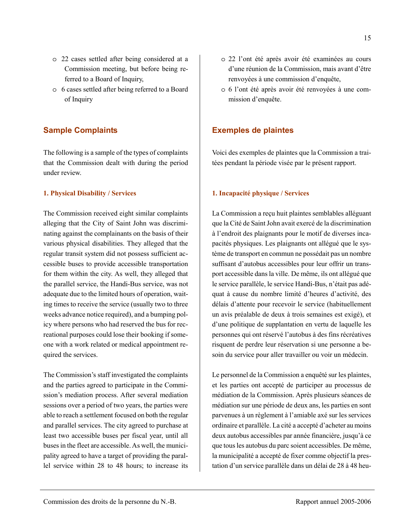- o 22 cases settled after being considered at a Commission meeting, but before being referred to a Board of Inquiry,
- o 6 cases settled after being referred to a Board of Inquiry

### **Sample Complaints**

The following is a sample of the types of complaints that the Commission dealt with during the period under review.

#### **1. Physical Disability / Services**

The Commission received eight similar complaints alleging that the City of Saint John was discriminating against the complainants on the basis of their various physical disabilities. They alleged that the regular transit system did not possess sufficient accessible buses to provide accessible transportation for them within the city. As well, they alleged that the parallel service, the Handi-Bus service, was not adequate due to the limited hours of operation, waiting times to receive the service (usually two to three weeks advance notice required), and a bumping policy where persons who had reserved the bus for recreational purposes could lose their booking if someone with a work related or medical appointment required the services.

The Commission's staff investigated the complaints and the parties agreed to participate in the Commission's mediation process. After several mediation sessions over a period of two years, the parties were able to reach a settlement focused on both the regular and parallel services. The city agreed to purchase at least two accessible buses per fiscal year, until all buses in the fleet are accessible. As well, the municipality agreed to have a target of providing the parallel service within 28 to 48 hours; to increase its

- o 22 l'ont été après avoir été examinées au cours d'une réunion de la Commission, mais avant d'être renvoyées à une commission d'enquête,
- o 6 l'ont été après avoir été renvoyées à une commission d'enquête.

#### **Exemples de plaintes**

Voici des exemples de plaintes que la Commission a traitées pendant la période visée par le présent rapport.

#### **1. Incapacité physique / Services**

La Commission a reçu huit plaintes semblables alléguant que la Cité de Saint John avait exercé de la discrimination à l'endroit des plaignants pour le motif de diverses incapacités physiques. Les plaignants ont allégué que le système de transport en commun ne possédait pas un nombre suffisant d'autobus accessibles pour leur offrir un transport accessible dans la ville. De même, ils ont allégué que le service parallèle, le service Handi-Bus, n'était pas adéquat à cause du nombre limité d'heures d'activité, des délais d'attente pour recevoir le service (habituellement un avis préalable de deux à trois semaines est exigé), et d'une politique de supplantation en vertu de laquelle les personnes qui ont réservé l'autobus à des fins récréatives risquent de perdre leur réservation si une personne a besoin du service pour aller travailler ou voir un médecin.

Le personnel de la Commission a enquêté sur les plaintes, et les parties ont accepté de participer au processus de médiation de la Commission. Après plusieurs séances de médiation sur une période de deux ans, les parties en sont parvenues à un règlement à l'amiable axé sur les services ordinaire et parallèle. La cité a accepté d'acheter au moins deux autobus accessibles par année financière, jusqu'à ce que tous les autobus du parc soient accessibles. De même, la municipalité a accepté de fixer comme objectif la prestation d'un service parallèle dans un délai de 28 à 48 heu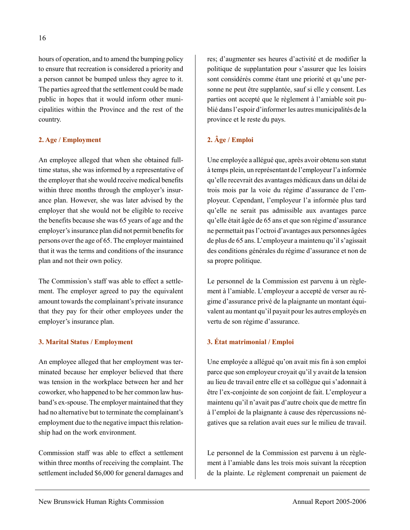hours of operation, and to amend the bumping policy to ensure that recreation is considered a priority and a person cannot be bumped unless they agree to it. The parties agreed that the settlement could be made public in hopes that it would inform other municipalities within the Province and the rest of the country.

#### **2. Age / Employment**

An employee alleged that when she obtained fulltime status, she was informed by a representative of the employer that she would receive medical benefits within three months through the employer's insurance plan. However, she was later advised by the employer that she would not be eligible to receive the benefits because she was 65 years of age and the employer's insurance plan did not permit benefits for persons over the age of 65. The employer maintained that it was the terms and conditions of the insurance plan and not their own policy.

The Commission's staff was able to effect a settlement. The employer agreed to pay the equivalent amount towards the complainant's private insurance that they pay for their other employees under the employer's insurance plan.

#### **3. Marital Status / Employment**

An employee alleged that her employment was terminated because her employer believed that there was tension in the workplace between her and her coworker, who happened to be her common law husband's ex-spouse. The employer maintained that they had no alternative but to terminate the complainant's employment due to the negative impact this relationship had on the work environment.

Commission staff was able to effect a settlement within three months of receiving the complaint. The settlement included \$6,000 for general damages and res; d'augmenter ses heures d'activité et de modifier la politique de supplantation pour s'assurer que les loisirs sont considérés comme étant une priorité et qu'une personne ne peut être supplantée, sauf si elle y consent. Les parties ont accepté que le règlement à l'amiable soit publié dans l'espoir d'informer les autres municipalités de la province et le reste du pays.

### **2. Âge / Emploi**

Une employée a allégué que, après avoir obtenu son statut à temps plein, un représentant de l'employeur l'a informée qu'elle recevrait des avantages médicaux dans un délai de trois mois par la voie du régime d'assurance de l'employeur. Cependant, l'employeur l'a informée plus tard qu'elle ne serait pas admissible aux avantages parce qu'elle était âgée de 65 ans et que son régime d'assurance ne permettait pas l'octroi d'avantages aux personnes âgées de plus de 65 ans. L'employeur a maintenu qu'il s'agissait des conditions générales du régime d'assurance et non de sa propre politique.

Le personnel de la Commission est parvenu à un règlement à l'amiable. L'employeur a accepté de verser au régime d'assurance privé de la plaignante un montant équivalent au montant qu'il payait pour les autres employés en vertu de son régime d'assurance.

#### **3. État matrimonial / Emploi**

Une employée a allégué qu'on avait mis fin à son emploi parce que son employeur croyait qu'il y avait de la tension au lieu de travail entre elle et sa collègue qui s'adonnait à être l'ex-conjointe de son conjoint de fait. L'employeur a maintenu qu'il n'avait pas d'autre choix que de mettre fin à l'emploi de la plaignante à cause des répercussions négatives que sa relation avait eues sur le milieu de travail.

Le personnel de la Commission est parvenu à un règlement à l'amiable dans les trois mois suivant la réception de la plainte. Le règlement comprenait un paiement de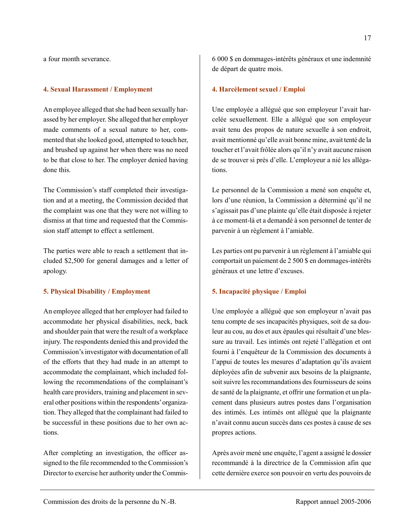a four month severance.

#### **4. Sexual Harassment / Employment**

An employee alleged that she had been sexually harassed by her employer. She alleged that her employer made comments of a sexual nature to her, commented that she looked good, attempted to touch her, and brushed up against her when there was no need to be that close to her. The employer denied having done this.

The Commission's staff completed their investigation and at a meeting, the Commission decided that the complaint was one that they were not willing to dismiss at that time and requested that the Commission staff attempt to effect a settlement.

The parties were able to reach a settlement that included \$2,500 for general damages and a letter of apology.

#### **5. Physical Disability / Employment**

An employee alleged that her employer had failed to accommodate her physical disabilities, neck, back and shoulder pain that were the result of a workplace injury. The respondents denied this and provided the Commission's investigator with documentation of all of the efforts that they had made in an attempt to accommodate the complainant, which included following the recommendations of the complainant's health care providers, training and placement in several other positions within the respondents' organization. They alleged that the complainant had failed to be successful in these positions due to her own actions.

After completing an investigation, the officer assigned to the file recommended to the Commission's Director to exercise her authority under the Commis6 000 \$ en dommages-intérêts généraux et une indemnité de départ de quatre mois.

#### **4. Harcèlement sexuel / Emploi**

Une employée a allégué que son employeur l'avait harcelée sexuellement. Elle a allégué que son employeur avait tenu des propos de nature sexuelle à son endroit, avait mentionné qu'elle avait bonne mine, avait tenté de la toucher et l'avait frôlée alors qu'il n'y avait aucune raison de se trouver si près d'elle. L'employeur a nié les allégations.

Le personnel de la Commission a mené son enquête et, lors d'une réunion, la Commission a déterminé qu'il ne s'agissait pas d'une plainte qu'elle était disposée à rejeter à ce moment-là et a demandé à son personnel de tenter de parvenir à un règlement à l'amiable.

Les parties ont pu parvenir à un règlement à l'amiable qui comportait un paiement de 2 500 \$ en dommages-intérêts généraux et une lettre d'excuses.

#### **5. Incapacité physique / Emploi**

Une employée a allégué que son employeur n'avait pas tenu compte de ses incapacités physiques, soit de sa douleur au cou, au dos et aux épaules qui résultait d'une blessure au travail. Les intimés ont rejeté l'allégation et ont fourni à l'enquêteur de la Commission des documents à l'appui de toutes les mesures d'adaptation qu'ils avaient déployées afin de subvenir aux besoins de la plaignante, soit suivre les recommandations des fournisseurs de soins de santé de la plaignante, et offrir une formation et un placement dans plusieurs autres postes dans l'organisation des intimés. Les intimés ont allégué que la plaignante n'avait connu aucun succès dans ces postes à cause de ses propres actions.

Après avoir mené une enquête, l'agent a assigné le dossier recommandé à la directrice de la Commission afin que cette dernière exerce son pouvoir en vertu des pouvoirs de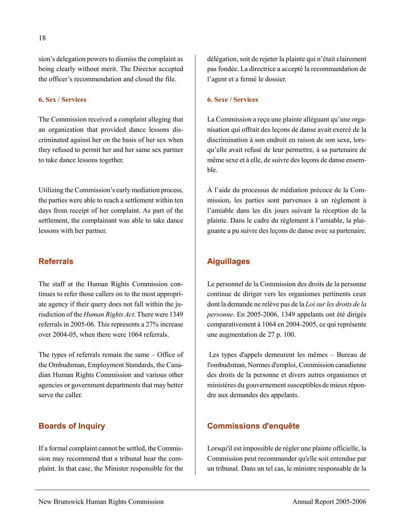sion's delegation powers to dismiss the complaint as being clearly without merit. The Director accepted

#### **6. Sex / Services**

The Commission received a complaint alleging that an organization that provided dance lessons discriminated against her on the basis of her sex when they refused to permit her and her same sex partner to take dance lessons together.

the officer's recommendation and closed the file.

Utilizing the Commission's early mediation process, the parties were able to reach a settlement within ten days from receipt of her complaint. As part of the settlement, the complainant was able to take dance lessons with her partner.

#### **Referrals**

The staff at the Human Rights Commission continues to refer those callers on to the most appropriate agency if their query does not fall within the jurisdiction of the *Human Rights Act*. There were 1349 referrals in 2005-06. This represents a 27% increase over 2004-05, when there were 1064 referrals.

The types of referrals remain the same – Office of the Ombudsman, Employment Standards, the Canadian Human Rights Commission and various other agencies or government departments that may better serve the caller.

#### **Boards of Inquiry**

If a formal complaint cannot be settled, the Commission may recommend that a tribunal hear the complaint. In that case, the Minister responsible for the délégation, soit de rejeter la plainte qui n'était clairement pas fondée. La directrice a accepté la recommandation de l'agent et a fermé le dossier.

#### **6. Sexe / Services**

La Commission a reçu une plainte alléguant qu'une organisation qui offrait des leçons de danse avait exercé de la discrimination à son endroit en raison de son sexe, lorsqu'elle avait refusé de leur permettre, à sa partenaire de même sexe et à elle, de suivre des leçons de danse ensemble.

À l'aide du processus de médiation précoce de la Commission, les parties sont parvenues à un règlement à l'amiable dans les dix jours suivant la réception de la plainte. Dans le cadre du règlement à l'amiable, la plaignante a pu suivre des leçons de danse avec sa partenaire.

### **Aiguillages**

Le personnel de la Commission des droits de la personne continue de diriger vers les organismes pertinents ceux dont la demande ne relève pas de la *Loi sur les droits de la personne*. En 2005-2006, 1349 appelants ont été dirigés comparativement à 1064 en 2004-2005, ce qui représente une augmentation de 27 p. 100.

 Les types d'appels demeurent les mêmes – Bureau de l'ombudsman, Normes d'emploi, Commission canadienne des droits de la personne et divers autres organismes et ministères du gouvernement susceptibles de mieux répondre aux demandes des appelants.

#### **Commissions d'enquête**

Lorsqu'il est impossible de régler une plainte officielle, la Commission peut recommander qu'elle soit entendue par un tribunal. Dans un tel cas, le ministre responsable de la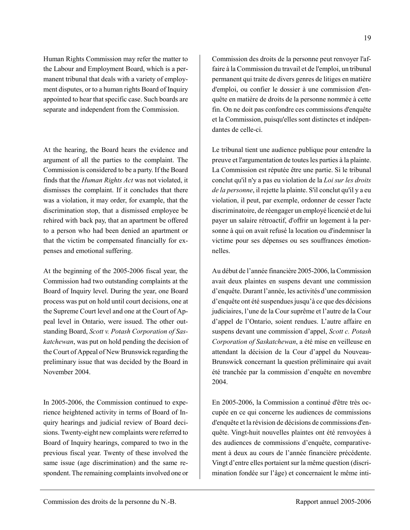Human Rights Commission may refer the matter to the Labour and Employment Board, which is a permanent tribunal that deals with a variety of employment disputes, or to a human rights Board of Inquiry appointed to hear that specific case. Such boards are separate and independent from the Commission.

At the hearing, the Board hears the evidence and argument of all the parties to the complaint. The Commission is considered to be a party. If the Board finds that the *Human Rights Act* was not violated, it dismisses the complaint. If it concludes that there was a violation, it may order, for example, that the discrimination stop, that a dismissed employee be rehired with back pay, that an apartment be offered to a person who had been denied an apartment or that the victim be compensated financially for expenses and emotional suffering.

At the beginning of the 2005-2006 fiscal year, the Commission had two outstanding complaints at the Board of Inquiry level. During the year, one Board process was put on hold until court decisions, one at the Supreme Court level and one at the Court of Appeal level in Ontario, were issued. The other outstanding Board, *Scott v. Potash Corporation of Saskatchewan*, was put on hold pending the decision of the Court of Appeal of New Brunswick regarding the preliminary issue that was decided by the Board in November 2004.

In 2005-2006, the Commission continued to experience heightened activity in terms of Board of Inquiry hearings and judicial review of Board decisions. Twenty-eight new complaints were referred to Board of Inquiry hearings, compared to two in the previous fiscal year. Twenty of these involved the same issue (age discrimination) and the same respondent. The remaining complaints involved one or Commission des droits de la personne peut renvoyer l'affaire à la Commission du travail et de l'emploi, un tribunal permanent qui traite de divers genres de litiges en matière d'emploi, ou confier le dossier à une commission d'enquête en matière de droits de la personne nommée à cette fin. On ne doit pas confondre ces commissions d'enquête et la Commission, puisqu'elles sont distinctes et indépendantes de celle-ci.

Le tribunal tient une audience publique pour entendre la preuve et l'argumentation de toutes les parties à la plainte. La Commission est réputée être une partie. Si le tribunal conclut qu'il n'y a pas eu violation de la *Loi sur les droits de la personne*, il rejette la plainte. S'il conclut qu'il y a eu violation, il peut, par exemple, ordonner de cesser l'acte discriminatoire, de réengager un employé licencié et de lui payer un salaire rétroactif, d'offrir un logement à la personne à qui on avait refusé la location ou d'indemniser la victime pour ses dépenses ou ses souffrances émotionnelles.

Au début de l'année financière 2005-2006, la Commission avait deux plaintes en suspens devant une commission d'enquête. Durant l'année, les activités d'une commission d'enquête ont été suspendues jusqu'à ce que des décisions judiciaires, l'une de la Cour suprême et l'autre de la Cour d'appel de l'Ontario, soient rendues. L'autre affaire en suspens devant une commission d'appel, *Scott c. Potash Corporation of Saskatchewan*, a été mise en veilleuse en attendant la décision de la Cour d'appel du Nouveau-Brunswick concernant la question préliminaire qui avait été tranchée par la commission d'enquête en novembre 2004.

En 2005-2006, la Commission a continué d'être très occupée en ce qui concerne les audiences de commissions d'enquête et la révision de décisions de commissions d'enquête. Vingt-huit nouvelles plaintes ont été renvoyées à des audiences de commissions d'enquête, comparativement à deux au cours de l'année financière précédente. Vingt d'entre elles portaient sur la même question (discrimination fondée sur l'âge) et concernaient le même inti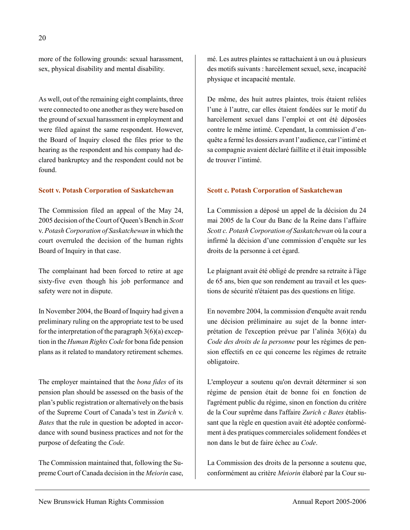more of the following grounds: sexual harassment, sex, physical disability and mental disability.

As well, out of the remaining eight complaints, three were connected to one another as they were based on the ground of sexual harassment in employment and were filed against the same respondent. However, the Board of Inquiry closed the files prior to the hearing as the respondent and his company had declared bankruptcy and the respondent could not be found.

#### **Scott v. Potash Corporation of Saskatchewan**

The Commission filed an appeal of the May 24, 2005 decision of the Court of Queen's Bench in *Scott*  v. *Potash Corporation of Saskatchewan* in which the court overruled the decision of the human rights Board of Inquiry in that case.

The complainant had been forced to retire at age sixty-five even though his job performance and safety were not in dispute.

In November 2004, the Board of Inquiry had given a preliminary ruling on the appropriate test to be used for the interpretation of the paragraph  $3(6)(a)$  exception in the *Human Rights Code* for bona fide pension plans as it related to mandatory retirement schemes.

The employer maintained that the *bona fides* of its pension plan should be assessed on the basis of the plan's public registration or alternatively on the basis of the Supreme Court of Canada's test in *Zurich* v. *Bates* that the rule in question be adopted in accordance with sound business practices and not for the purpose of defeating the *Code.* 

The Commission maintained that, following the Supreme Court of Canada decision in the *Meiorin* case, mé. Les autres plaintes se rattachaient à un ou à plusieurs des motifs suivants : harcèlement sexuel, sexe, incapacité physique et incapacité mentale.

De même, des huit autres plaintes, trois étaient reliées l'une à l'autre, car elles étaient fondées sur le motif du harcèlement sexuel dans l'emploi et ont été déposées contre le même intimé. Cependant, la commission d'enquête a fermé les dossiers avant l'audience, car l'intimé et sa compagnie avaient déclaré faillite et il était impossible de trouver l'intimé.

#### **Scott c. Potash Corporation of Saskatchewan**

La Commission a déposé un appel de la décision du 24 mai 2005 de la Cour du Banc de la Reine dans l'affaire *Scott c. Potash Corporation of Saskatchewan* où la cour a infirmé la décision d'une commission d'enquête sur les droits de la personne à cet égard.

Le plaignant avait été obligé de prendre sa retraite à l'âge de 65 ans, bien que son rendement au travail et les questions de sécurité n'étaient pas des questions en litige.

En novembre 2004, la commission d'enquête avait rendu une décision préliminaire au sujet de la bonne interprétation de l'exception prévue par l'alinéa 3(6)(a) du *Code des droits de la personne* pour les régimes de pension effectifs en ce qui concerne les régimes de retraite obligatoire.

L'employeur a soutenu qu'on devrait déterminer si son régime de pension était de bonne foi en fonction de l'agrément public du régime, sinon en fonction du critère de la Cour suprême dans l'affaire *Zurich c Bates* établissant que la règle en question avait été adoptée conformément à des pratiques commerciales solidement fondées et non dans le but de faire échec au *Code*.

La Commission des droits de la personne a soutenu que, conformément au critère *Meiorin* élaboré par la Cour su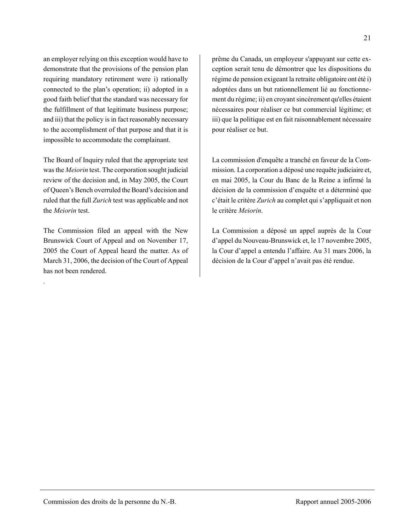an employer relying on this exception would have to demonstrate that the provisions of the pension plan requiring mandatory retirement were i) rationally connected to the plan's operation; ii) adopted in a good faith belief that the standard was necessary for the fulfillment of that legitimate business purpose; and iii) that the policy is in fact reasonably necessary to the accomplishment of that purpose and that it is impossible to accommodate the complainant.

The Board of Inquiry ruled that the appropriate test was the *Meiorin* test. The corporation sought judicial review of the decision and, in May 2005, the Court of Queen's Bench overruled the Board's decision and ruled that the full *Zurich* test was applicable and not the *Meiorin* test.

The Commission filed an appeal with the New Brunswick Court of Appeal and on November 17, 2005 the Court of Appeal heard the matter. As of March 31, 2006, the decision of the Court of Appeal has not been rendered.

.

prême du Canada, un employeur s'appuyant sur cette exception serait tenu de démontrer que les dispositions du régime de pension exigeant la retraite obligatoire ont été i) adoptées dans un but rationnellement lié au fonctionnement du régime; ii) en croyant sincèrement qu'elles étaient nécessaires pour réaliser ce but commercial légitime; et iii) que la politique est en fait raisonnablement nécessaire pour réaliser ce but.

La commission d'enquête a tranché en faveur de la Commission. La corporation a déposé une requête judiciaire et, en mai 2005, la Cour du Banc de la Reine a infirmé la décision de la commission d'enquête et a déterminé que c'était le critère *Zurich* au complet qui s'appliquait et non le critère *Meiorin*.

La Commission a déposé un appel auprès de la Cour d'appel du Nouveau-Brunswick et, le 17 novembre 2005, la Cour d'appel a entendu l'affaire. Au 31 mars 2006, la décision de la Cour d'appel n'avait pas été rendue.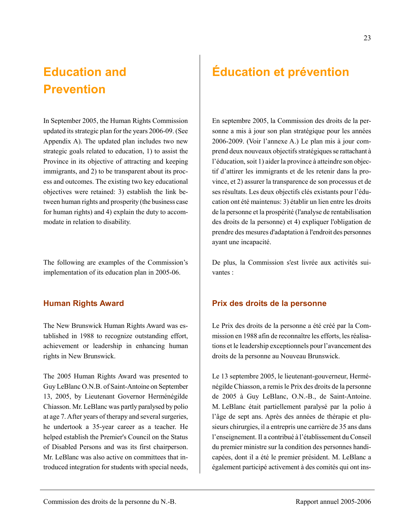## **Education and Prevention**

In September 2005, the Human Rights Commission updated its strategic plan for the years 2006-09. (See Appendix A). The updated plan includes two new strategic goals related to education, 1) to assist the Province in its objective of attracting and keeping immigrants, and 2) to be transparent about its process and outcomes. The existing two key educational objectives were retained: 3) establish the link between human rights and prosperity (the business case for human rights) and 4) explain the duty to accommodate in relation to disability.

The following are examples of the Commission's implementation of its education plan in 2005-06.

### **Human Rights Award**

The New Brunswick Human Rights Award was established in 1988 to recognize outstanding effort, achievement or leadership in enhancing human rights in New Brunswick.

The 2005 Human Rights Award was presented to Guy LeBlanc O.N.B. of Saint-Antoine on September 13, 2005, by Lieutenant Governor Herménégilde Chiasson. Mr. LeBlanc was partly paralysed by polio at age 7. After years of therapy and several surgeries, he undertook a 35-year career as a teacher. He helped establish the Premier's Council on the Status of Disabled Persons and was its first chairperson. Mr. LeBlanc was also active on committees that introduced integration for students with special needs,

En septembre 2005, la Commission des droits de la personne a mis à jour son plan stratégique pour les années 2006-2009. (Voir l'annexe A.) Le plan mis à jour comprend deux nouveaux objectifs stratégiques se rattachant à l'éducation, soit 1) aider la province à atteindre son objectif d'attirer les immigrants et de les retenir dans la province, et 2) assurer la transparence de son processus et de ses résultats. Les deux objectifs clés existants pour l'éducation ont été maintenus: 3) établir un lien entre les droits de la personne et la prospérité (l'analyse de rentabilisation des droits de la personne) et 4) expliquer l'obligation de prendre des mesures d'adaptation à l'endroit des personnes ayant une incapacité.

De plus, la Commission s'est livrée aux activités suivantes :

### **Prix des droits de la personne**

Le Prix des droits de la personne a été créé par la Commission en 1988 afin de reconnaître les efforts, les réalisations et le leadership exceptionnels pour l'avancement des droits de la personne au Nouveau Brunswick.

Le 13 septembre 2005, le lieutenant-gouverneur, Herménégilde Chiasson, a remis le Prix des droits de la personne de 2005 à Guy LeBlanc, O.N.-B., de Saint-Antoine. M. LeBlanc était partiellement paralysé par la polio à l'âge de sept ans. Après des années de thérapie et plusieurs chirurgies, il a entrepris une carrière de 35 ans dans l'enseignement. Il a contribué à l'établissement du Conseil du premier ministre sur la condition des personnes handicapées, dont il a été le premier président. M. LeBlanc a également participé activement à des comités qui ont ins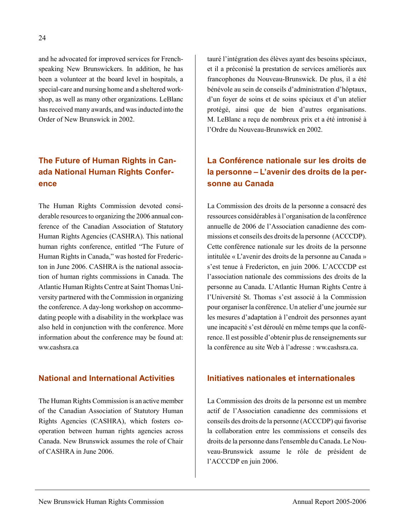and he advocated for improved services for Frenchspeaking New Brunswickers. In addition, he has been a volunteer at the board level in hospitals, a special-care and nursing home and a sheltered workshop, as well as many other organizations. LeBlanc has received many awards, and was inducted into the Order of New Brunswick in 2002.

## **The Future of Human Rights in Canada National Human Rights Conference**

The Human Rights Commission devoted considerable resources to organizing the 2006 annual conference of the Canadian Association of Statutory Human Rights Agencies (CASHRA). This national human rights conference, entitled "The Future of Human Rights in Canada," was hosted for Fredericton in June 2006. CASHRA is the national association of human rights commissions in Canada. The Atlantic Human Rights Centre at Saint Thomas University partnered with the Commission in organizing the conference. A day-long workshop on accommodating people with a disability in the workplace was also held in conjunction with the conference. More information about the conference may be found at: ww.cashsra.ca

### **National and International Activities**

The Human Rights Commission is an active member of the Canadian Association of Statutory Human Rights Agencies (CASHRA), which fosters cooperation between human rights agencies across Canada. New Brunswick assumes the role of Chair of CASHRA in June 2006.

tauré l'intégration des élèves ayant des besoins spéciaux, et il a préconisé la prestation de services améliorés aux francophones du Nouveau-Brunswick. De plus, il a été bénévole au sein de conseils d'administration d'hôptaux, d'un foyer de soins et de soins spéciaux et d'un atelier protégé, ainsi que de bien d'autres organisations. M. LeBlanc a reçu de nombreux prix et a été intronisé à l'Ordre du Nouveau-Brunswick en 2002.

## **La Conférence nationale sur les droits de la personne – L'avenir des droits de la personne au Canada**

La Commission des droits de la personne a consacré des ressources considérables à l'organisation de la conférence annuelle de 2006 de l'Association canadienne des commissions et conseils des droits de la personne (ACCCDP). Cette conférence nationale sur les droits de la personne intitulée « L'avenir des droits de la personne au Canada » s'est tenue à Fredericton, en juin 2006. L'ACCCDP est l'association nationale des commissions des droits de la personne au Canada. L'Atlantic Human Rights Centre à l'Université St. Thomas s'est associé à la Commission pour organiser la conférence. Un atelier d'une journée sur les mesures d'adaptation à l'endroit des personnes ayant une incapacité s'est déroulé en même temps que la conférence. Il est possible d'obtenir plus de renseignements sur la conférence au site Web à l'adresse : ww.cashsra.ca.

### **Initiatives nationales et internationales**

La Commission des droits de la personne est un membre actif de l'Association canadienne des commissions et conseils des droits de la personne (ACCCDP) qui favorise la collaboration entre les commissions et conseils des droits de la personne dans l'ensemble du Canada. Le Nouveau-Brunswick assume le rôle de président de l'ACCCDP en juin 2006.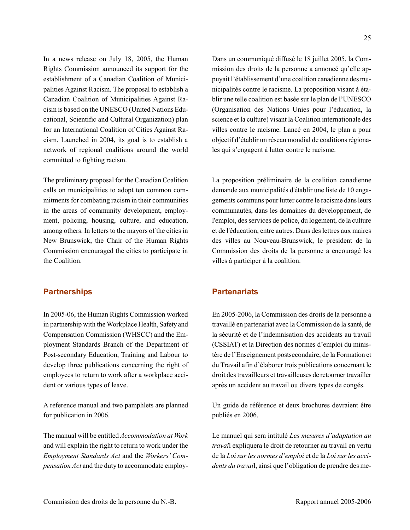In a news release on July 18, 2005, the Human Rights Commission announced its support for the establishment of a Canadian Coalition of Municipalities Against Racism. The proposal to establish a Canadian Coalition of Municipalities Against Racism is based on the UNESCO (United Nations Educational, Scientific and Cultural Organization) plan for an International Coalition of Cities Against Racism. Launched in 2004, its goal is to establish a network of regional coalitions around the world committed to fighting racism.

The preliminary proposal for the Canadian Coalition calls on municipalities to adopt ten common commitments for combating racism in their communities in the areas of community development, employment, policing, housing, culture, and education, among others. In letters to the mayors of the cities in New Brunswick, the Chair of the Human Rights Commission encouraged the cities to participate in the Coalition.

### **Partnerships**

In 2005-06, the Human Rights Commission worked in partnership with the Workplace Health, Safety and Compensation Commission (WHSCC) and the Employment Standards Branch of the Department of Post-secondary Education, Training and Labour to develop three publications concerning the right of employees to return to work after a workplace accident or various types of leave.

A reference manual and two pamphlets are planned for publication in 2006.

The manual will be entitled *Accommodation at Work* and will explain the right to return to work under the *Employment Standards Act* and the *Workers' Compensation Act* and the duty to accommodate employDans un communiqué diffusé le 18 juillet 2005, la Commission des droits de la personne a annoncé qu'elle appuyait l'établissement d'une coalition canadienne des municipalités contre le racisme. La proposition visant à établir une telle coalition est basée sur le plan de l'UNESCO (Organisation des Nations Unies pour l'éducation, la science et la culture) visant la Coalition internationale des villes contre le racisme. Lancé en 2004, le plan a pour objectif d'établir un réseau mondial de coalitions régionales qui s'engagent à lutter contre le racisme.

La proposition préliminaire de la coalition canadienne demande aux municipalités d'établir une liste de 10 engagements communs pour lutter contre le racisme dans leurs communautés, dans les domaines du développement, de l'emploi, des services de police, du logement, de la culture et de l'éducation, entre autres. Dans des lettres aux maires des villes au Nouveau-Brunswick, le président de la Commission des droits de la personne a encouragé les villes à participer à la coalition.

### **Partenariats**

En 2005-2006, la Commission des droits de la personne a travaillé en partenariat avec la Commission de la santé, de la sécurité et de l'indemnisation des accidents au travail (CSSIAT) et la Direction des normes d'emploi du ministère de l'Enseignement postsecondaire, de la Formation et du Travail afin d'élaborer trois publications concernant le droit des travailleurs et travailleuses de retourner travailler après un accident au travail ou divers types de congés.

Un guide de référence et deux brochures devraient être publiés en 2006.

Le manuel qui sera intitulé *Les mesures d'adaptation au travai*l expliquera le droit de retourner au travail en vertu de la *Loi sur les normes d'emploi* et de la *Loi sur les accidents du travai*l, ainsi que l'obligation de prendre des me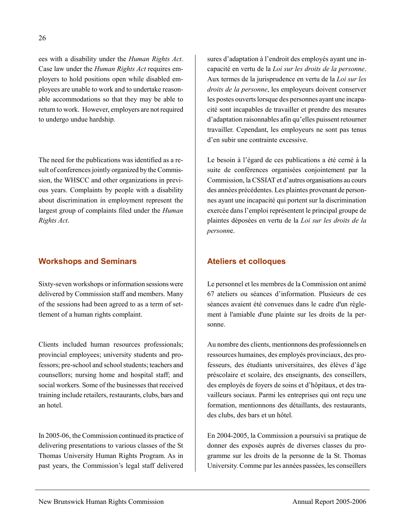ees with a disability under the *Human Rights Act*. Case law under the *Human Rights Act* requires employers to hold positions open while disabled employees are unable to work and to undertake reasonable accommodations so that they may be able to return to work. However, employers are not required to undergo undue hardship.

The need for the publications was identified as a result of conferences jointly organized by the Commission, the WHSCC and other organizations in previous years. Complaints by people with a disability about discrimination in employment represent the largest group of complaints filed under the *Human Rights Act*.

### **Workshops and Seminars**

Sixty-seven workshops or information sessions were delivered by Commission staff and members. Many of the sessions had been agreed to as a term of settlement of a human rights complaint.

Clients included human resources professionals; provincial employees; university students and professors; pre-school and school students; teachers and counsellors; nursing home and hospital staff; and social workers. Some of the businesses that received training include retailers, restaurants, clubs, bars and an hotel.

In 2005-06, the Commission continued its practice of delivering presentations to various classes of the St Thomas University Human Rights Program. As in past years, the Commission's legal staff delivered

sures d'adaptation à l'endroit des employés ayant une incapacité en vertu de la *Loi sur les droits de la personne*. Aux termes de la jurisprudence en vertu de la *Loi sur les droits de la personne*, les employeurs doivent conserver les postes ouverts lorsque des personnes ayant une incapacité sont incapables de travailler et prendre des mesures d'adaptation raisonnables afin qu'elles puissent retourner travailler. Cependant, les employeurs ne sont pas tenus d'en subir une contrainte excessive.

Le besoin à l'égard de ces publications a été cerné à la suite de conférences organisées conjointement par la Commission, la CSSIAT et d'autres organisations au cours des années précédentes. Les plaintes provenant de personnes ayant une incapacité qui portent sur la discrimination exercée dans l'emploi représentent le principal groupe de plaintes déposées en vertu de la *Loi sur les droits de la personn*e.

## **Ateliers et colloques**

Le personnel et les membres de la Commission ont animé 67 ateliers ou séances d'information. Plusieurs de ces séances avaient été convenues dans le cadre d'un règlement à l'amiable d'une plainte sur les droits de la personne.

Au nombre des clients, mentionnons des professionnels en ressources humaines, des employés provinciaux, des professeurs, des étudiants universitaires, des élèves d'âge préscolaire et scolaire, des enseignants, des conseillers, des employés de foyers de soins et d'hôpitaux, et des travailleurs sociaux. Parmi les entreprises qui ont reçu une formation, mentionnons des détaillants, des restaurants, des clubs, des bars et un hôtel.

En 2004-2005, la Commission a poursuivi sa pratique de donner des exposés auprès de diverses classes du programme sur les droits de la personne de la St. Thomas University. Comme par les années passées, les conseillers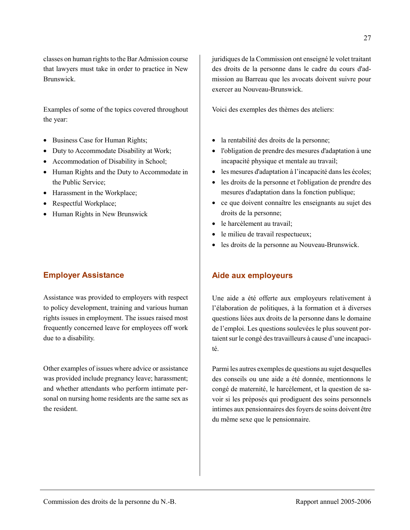classes on human rights to the Bar Admission course that lawyers must take in order to practice in New Brunswick.

Examples of some of the topics covered throughout the year:

- Business Case for Human Rights;
- Duty to Accommodate Disability at Work;
- Accommodation of Disability in School;
- Human Rights and the Duty to Accommodate in the Public Service;
- Harassment in the Workplace;
- Respectful Workplace;
- Human Rights in New Brunswick

## **Employer Assistance**

Assistance was provided to employers with respect to policy development, training and various human rights issues in employment. The issues raised most frequently concerned leave for employees off work due to a disability.

Other examples of issues where advice or assistance was provided include pregnancy leave; harassment; and whether attendants who perform intimate personal on nursing home residents are the same sex as the resident.

juridiques de la Commission ont enseigné le volet traitant des droits de la personne dans le cadre du cours d'admission au Barreau que les avocats doivent suivre pour exercer au Nouveau-Brunswick.

Voici des exemples des thèmes des ateliers:

- la rentabilité des droits de la personne;
- l'obligation de prendre des mesures d'adaptation à une incapacité physique et mentale au travail;
- les mesures d'adaptation à l'incapacité dans les écoles;
- les droits de la personne et l'obligation de prendre des mesures d'adaptation dans la fonction publique;
- ce que doivent connaître les enseignants au sujet des droits de la personne;
- le harcèlement au travail;
- le milieu de travail respectueux;
- les droits de la personne au Nouveau-Brunswick.

## **Aide aux employeurs**

Une aide a été offerte aux employeurs relativement à l'élaboration de politiques, à la formation et à diverses questions liées aux droits de la personne dans le domaine de l'emploi. Les questions soulevées le plus souvent portaient sur le congé des travailleurs à cause d'une incapacité.

Parmi les autres exemples de questions au sujet desquelles des conseils ou une aide a été donnée, mentionnons le congé de maternité, le harcèlement, et la question de savoir si les préposés qui prodiguent des soins personnels intimes aux pensionnaires des foyers de soins doivent être du même sexe que le pensionnaire.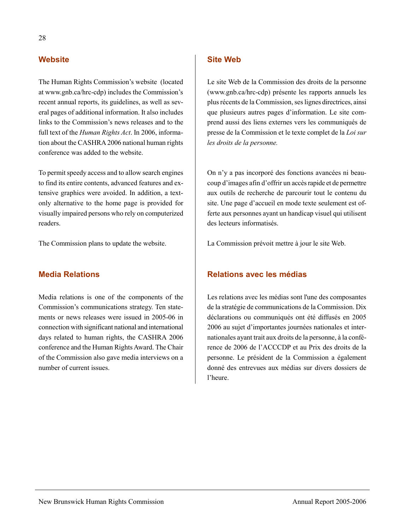### **Website**

The Human Rights Commission's website (located at www.gnb.ca/hrc-cdp) includes the Commission's recent annual reports, its guidelines, as well as several pages of additional information. It also includes links to the Commission's news releases and to the full text of the *Human Rights Act*. In 2006, information about the CASHRA 2006 national human rights conference was added to the website.

To permit speedy access and to allow search engines to find its entire contents, advanced features and extensive graphics were avoided. In addition, a textonly alternative to the home page is provided for visually impaired persons who rely on computerized readers.

The Commission plans to update the website.

### **Media Relations**

Media relations is one of the components of the Commission's communications strategy. Ten statements or news releases were issued in 2005-06 in connection with significant national and international days related to human rights, the CASHRA 2006 conference and the Human Rights Award. The Chair of the Commission also gave media interviews on a number of current issues.

### **Site Web**

Le site Web de la Commission des droits de la personne (www.gnb.ca/hrc-cdp) présente les rapports annuels les plus récents de la Commission, ses lignes directrices, ainsi que plusieurs autres pages d'information. Le site comprend aussi des liens externes vers les communiqués de presse de la Commission et le texte complet de la *Loi sur les droits de la personne.* 

On n'y a pas incorporé des fonctions avancées ni beaucoup d'images afin d'offrir un accès rapide et de permettre aux outils de recherche de parcourir tout le contenu du site. Une page d'accueil en mode texte seulement est offerte aux personnes ayant un handicap visuel qui utilisent des lecteurs informatisés.

La Commission prévoit mettre à jour le site Web.

### **Relations avec les médias**

Les relations avec les médias sont l'une des composantes de la stratégie de communications de la Commission. Dix déclarations ou communiqués ont été diffusés en 2005 2006 au sujet d'importantes journées nationales et internationales ayant trait aux droits de la personne, à la conférence de 2006 de l'ACCCDP et au Prix des droits de la personne. Le président de la Commission a également donné des entrevues aux médias sur divers dossiers de l'heure.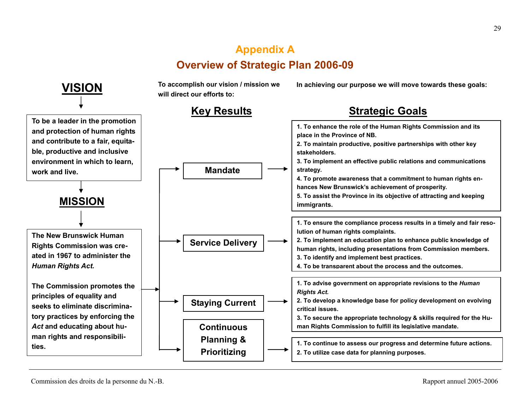## **Appendix A Overview of Strategic Plan 2006-09**

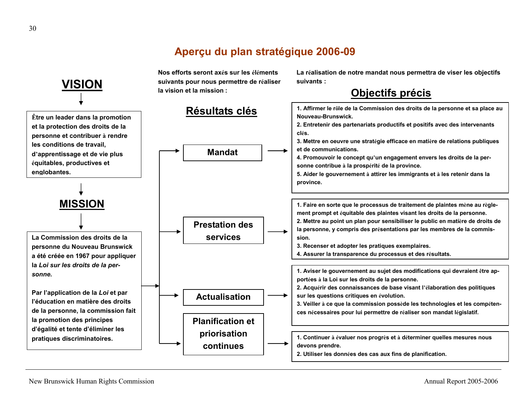## **Aperçu du plan stratégique 2006-09**

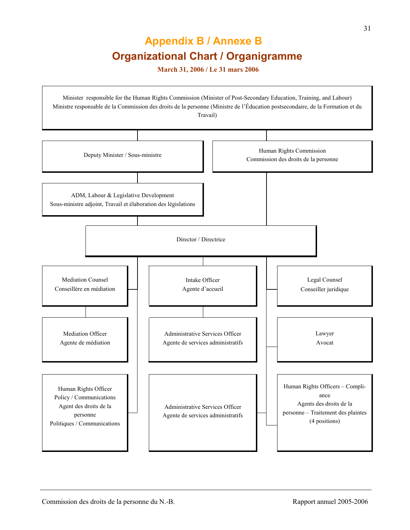## **Appendix B / Annexe B Organizational Chart / Organigramme**

 **March 31, 2006 / Le 31 mars 2006** 

Minister responsible for the Human Rights Commission (Minister of Post-Secondary Education, Training, and Labour) Ministre responsable de la Commission des droits de la personne (Ministre de l'Éducation postsecondaire, de la Formation et du Travail) Deputy Minister / Sous-ministre Human Rights Commission Commission des droits de la personne ADM, Labour & Legislative Development Sous-ministre adjoint, Travail et élaboration des législations Director / Directrice Mediation Counsel Conseillère en médiation Intake Officer Agente d'accueil Legal Counsel Conseiller juridique Mediation Officer Agente de médiation Administrative Services Officer Agente de services administratifs Lawyer Avocat Human Rights Officer Policy / Communications Agent des droits de la personne Politiques / Communications Administrative Services Officer Agente de services administratifs Human Rights Officers – Compliance Agents des droits de la personne – Traitement des plaintes (4 positions)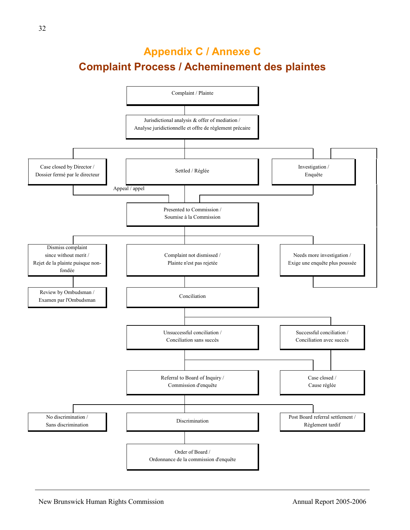## **Appendix C / Annexe C Complaint Process / Acheminement des plaintes**

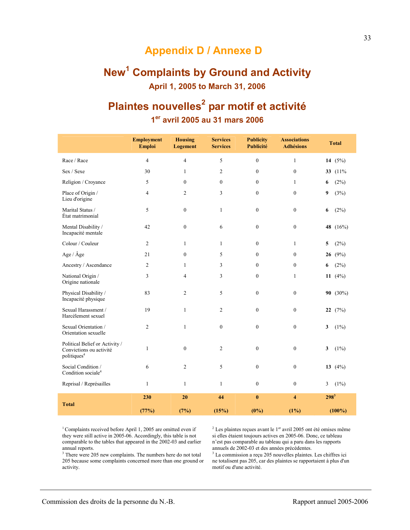## **Appendix D / Annexe D**

## **New<sup>1</sup> Complaints by Ground and Activity April 1, 2005 to March 31, 2006**

## **Plaintes nouvelles<sup>2</sup> par motif et activité 1er avril 2005 au 31 mars 2006**

|                                                                                      | <b>Employment</b><br><b>Emploi</b> | <b>Housing</b><br><b>Logement</b> | <b>Services</b><br><b>Services</b> | <b>Publicity</b><br>Publicité | <b>Associations</b><br><b>Adhésions</b> | <b>Total</b>                       |
|--------------------------------------------------------------------------------------|------------------------------------|-----------------------------------|------------------------------------|-------------------------------|-----------------------------------------|------------------------------------|
| Race / Race                                                                          | 4                                  | $\overline{4}$                    | 5                                  | $\mathbf{0}$                  | $\mathbf{1}$                            | 14 $(5%)$                          |
| Sex / Sexe                                                                           | 30                                 | $\mathbf{1}$                      | 2                                  | $\mathbf{0}$                  | $\boldsymbol{0}$                        | 33 (11%)                           |
| Religion / Croyance                                                                  | 5                                  | $\mathbf{0}$                      | $\boldsymbol{0}$                   | $\mathbf{0}$                  | $\mathbf{1}$                            | (2%)<br>6                          |
| Place of Origin /<br>Lieu d'origine                                                  | 4                                  | 2                                 | 3                                  | $\mathbf{0}$                  | $\overline{0}$                          | 9<br>(3%)                          |
| Marital Status /<br>État matrimonial                                                 | 5                                  | $\boldsymbol{0}$                  | $\mathbf{1}$                       | $\boldsymbol{0}$              | $\boldsymbol{0}$                        | (2%)<br>6                          |
| Mental Disability /<br>Incapacité mentale                                            | 42                                 | $\mathbf{0}$                      | 6                                  | $\mathbf{0}$                  | $\boldsymbol{0}$                        | 48 (16%)                           |
| Colour / Couleur                                                                     | 2                                  | $\mathbf{1}$                      | $\mathbf{1}$                       | $\overline{0}$                | $\mathbf{1}$                            | 5<br>(2%)                          |
| Age / Âge                                                                            | 21                                 | $\mathbf{0}$                      | 5                                  | $\mathbf{0}$                  | $\overline{0}$                          | 26 $(9%)$                          |
| Ancestry / Ascendance                                                                | 2                                  | $\mathbf{1}$                      | 3                                  | $\mathbf{0}$                  | $\boldsymbol{0}$                        | (2%)<br>6                          |
| National Origin /<br>Origine nationale                                               | 3                                  | $\overline{4}$                    | 3                                  | $\boldsymbol{0}$              | $\mathbf{1}$                            | 11 $(4%)$                          |
| Physical Disability /<br>Incapacité physique                                         | 83                                 | $\overline{2}$                    | 5                                  | $\boldsymbol{0}$              | $\boldsymbol{0}$                        | 90 (30%)                           |
| Sexual Harassment /<br>Harcèlement sexuel                                            | 19                                 | $\mathbf{1}$                      | 2                                  | $\mathbf{0}$                  | $\mathbf{0}$                            | 22 $(7%)$                          |
| Sexual Orientation /<br>Orientation sexuelle                                         | 2                                  | $\mathbf{1}$                      | $\mathbf{0}$                       | $\mathbf{0}$                  | $\mathbf{0}$                            | 3<br>$(1\%)$                       |
| Political Belief or Activity /<br>Convictions ou activité<br>politiques <sup>4</sup> | 1                                  | $\mathbf{0}$                      | $\overline{c}$                     | $\mathbf{0}$                  | $\boldsymbol{0}$                        | $\overline{\mathbf{3}}$<br>$(1\%)$ |
| Social Condition /<br>Condition sociale <sup>4</sup>                                 | 6                                  | $\overline{2}$                    | 5                                  | $\mathbf{0}$                  | $\boldsymbol{0}$                        | 13 $(4\%)$                         |
| Reprisal / Représailles                                                              | $\mathbf{1}$                       | $\mathbf{1}$                      | $\mathbf{1}$                       | $\mathbf{0}$                  | $\overline{0}$                          | $(1\%)$<br>3                       |
| <b>Total</b>                                                                         | 230                                | 20                                | 44                                 | $\bf{0}$                      | $\overline{\mathbf{4}}$                 | $298^3$                            |
|                                                                                      | (77%)                              | (7%)                              | (15%)                              | $(0\%)$                       | (1%)                                    | $(100\%)$                          |

<sup>1</sup> Complaints received before April 1, 2005 are omitted even if they were still active in 2005-06. Accordingly, this table is not comparable to the tables that appeared in the 2002-03 and earlier annual reports.

<sup>3</sup> There were 205 new complaints. The numbers here do not total 205 because some complaints concerned more than one ground or activity.

 $2$  Les plaintes reçues avant le 1<sup>er</sup> avril 2005 ont été omises même si elles étaient toujours actives en 2005-06. Donc, ce tableau n'est pas comparable au tableau qui a paru dans les rapports annuels de 2002-03 et des années précédentes.

3 La commission a reçu 205 nouvelles plaintes. Les chiffres ici ne totalisent pas 205, car des plaintes se rapportaient à plus d'un motif ou d'une activité.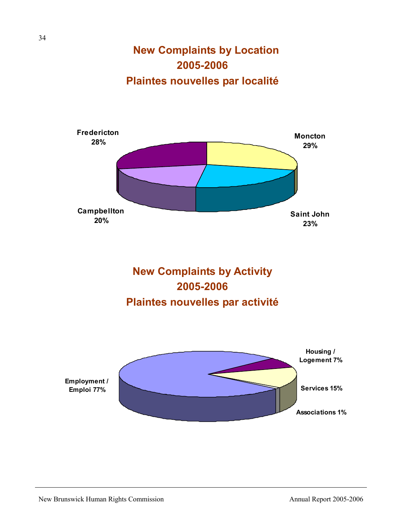**New Complaints by Location 2005-2006 Plaintes nouvelles par localité**





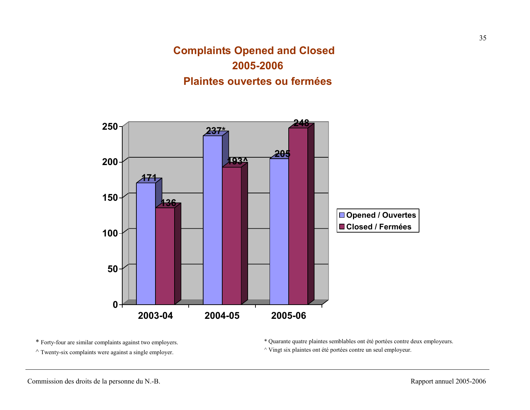## **Complaints Opened and Closed 2005-2006 Plaintes ouvertes ou fermées**



\* Forty-four are similar complaints against two employers.

 $\land$  Twenty-six complaints were against a single employer.

\* Quarante quatre plaintes semblables ont été portées contre deux employeurs. ^ Vingt six plaintes ont été portées contre un seul employeur.

35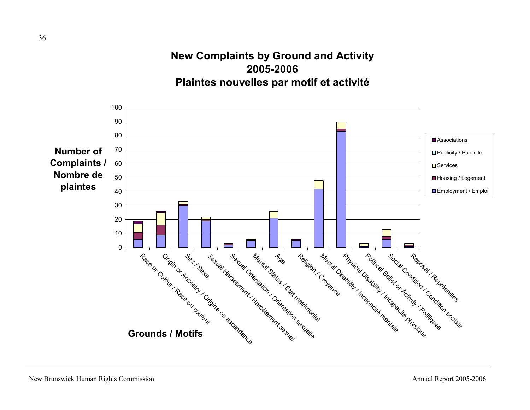## **New Complaints by Ground and Activity 2005-2006Plaintes nouvelles par motif et activité**

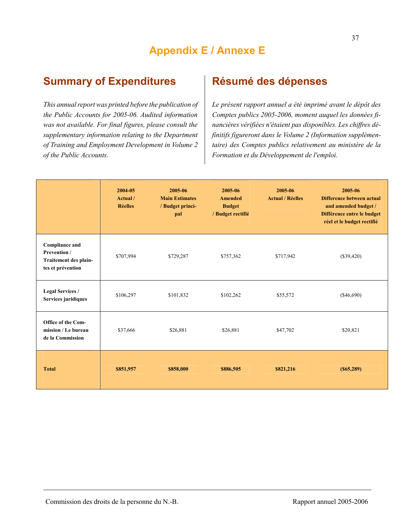## **Summary of Expenditures**

*This annual report was printed before the publication of the Public Accounts for 2005-06. Audited information was not available. For final figures, please consult the supplementary information relating to the Department of Training and Employment Development in Volume 2 of the Public Accounts.*

## **Résumé des dépenses**

*Le présent rapport annuel a été imprimé avant le dépôt des Comptes publics 2005-2006, moment auquel les données financières vérifiées n'étaient pas disponibles. Les chiffres définitifs figureront dans le Volume 2 (Information supplémentaire) des Comptes publics relativement au ministère de la Formation et du Développement de l'emploi.*

|                                                                                     | 2004-05<br>Actual /<br><b>Réelles</b> | 2005-06<br><b>Main Estimates</b><br>/ Budget princi-<br>pal | 2005-06<br><b>Amended</b><br><b>Budget</b><br>/ Budget rectifié | 2005-06<br><b>Actual / Réelles</b> | 2005-06<br>Difference between actual<br>and amended budget /<br>Différence entre le budget<br>réel et le budget rectifié |
|-------------------------------------------------------------------------------------|---------------------------------------|-------------------------------------------------------------|-----------------------------------------------------------------|------------------------------------|--------------------------------------------------------------------------------------------------------------------------|
| <b>Compliance and</b><br>Prevention /<br>Traitement des plain-<br>tes et prévention | \$707,994                             | \$729,287                                                   | \$757,362                                                       | \$717,942                          | $(\$39,420)$                                                                                                             |
| <b>Legal Services /</b><br>Services juridiques                                      | \$106,297                             | \$101,832                                                   | \$102,262                                                       | \$55,572                           | $(\$46,690)$                                                                                                             |
| Office of the Com-<br>mission / Le bureau<br>de la Commission                       | \$37,666                              | \$26,881                                                    | \$26,881                                                        | \$47,702                           | \$20,821                                                                                                                 |
| <b>Total</b>                                                                        | \$851,957                             | \$858,000                                                   | \$886,505                                                       | \$821,216                          | (S65, 289)                                                                                                               |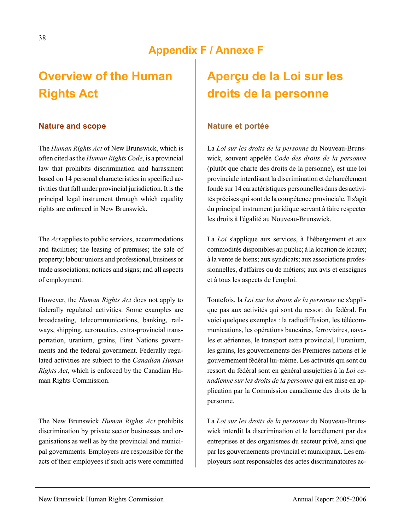## **Appendix F / Annexe F**

## **Overview of the Human Rights Act**

#### **Nature and scope**

The *Human Rights Act* of New Brunswick, which is often cited as the *Human Rights Code*, is a provincial law that prohibits discrimination and harassment based on 14 personal characteristics in specified activities that fall under provincial jurisdiction. It is the principal legal instrument through which equality rights are enforced in New Brunswick.

The *Act* applies to public services, accommodations and facilities; the leasing of premises; the sale of property; labour unions and professional, business or trade associations; notices and signs; and all aspects of employment.

However, the *Human Rights Act* does not apply to federally regulated activities. Some examples are broadcasting, telecommunications, banking, railways, shipping, aeronautics, extra-provincial transportation, uranium, grains, First Nations governments and the federal government. Federally regulated activities are subject to the *Canadian Human Rights Act*, which is enforced by the Canadian Human Rights Commission.

The New Brunswick *Human Rights Act* prohibits discrimination by private sector businesses and organisations as well as by the provincial and municipal governments. Employers are responsible for the acts of their employees if such acts were committed

## **Aperçu de la Loi sur les droits de la personne**

#### **Nature et portée**

La *Loi sur les droits de la personne* du Nouveau-Brunswick, souvent appelée *Code des droits de la personne* (plutôt que charte des droits de la personne), est une loi provinciale interdisant la discrimination et de harcèlement fondé sur 14 caractéristiques personnelles dans des activités précises qui sont de la compétence provinciale. Il s'agit du principal instrument juridique servant à faire respecter les droits à l'égalité au Nouveau-Brunswick.

La *Loi* s'applique aux services, à l'hébergement et aux commodités disponibles au public; à la location de locaux; à la vente de biens; aux syndicats; aux associations professionnelles, d'affaires ou de métiers; aux avis et enseignes et à tous les aspects de l'emploi.

Toutefois, la *Loi sur les droits de la personne* ne s'applique pas aux activités qui sont du ressort du fédéral. En voici quelques exemples : la radiodiffusion, les télécommunications, les opérations bancaires, ferroviaires, navales et aériennes, le transport extra provincial, l'uranium, les grains, les gouvernements des Premières nations et le gouvernement fédéral lui-même. Les activités qui sont du ressort du fédéral sont en général assujetties à la *Loi canadienne sur les droits de la personne* qui est mise en application par la Commission canadienne des droits de la personne.

La *Loi sur les droits de la personne* du Nouveau-Brunswick interdit la discrimination et le harcèlement par des entreprises et des organismes du secteur privé, ainsi que par les gouvernements provincial et municipaux. Les employeurs sont responsables des actes discriminatoires ac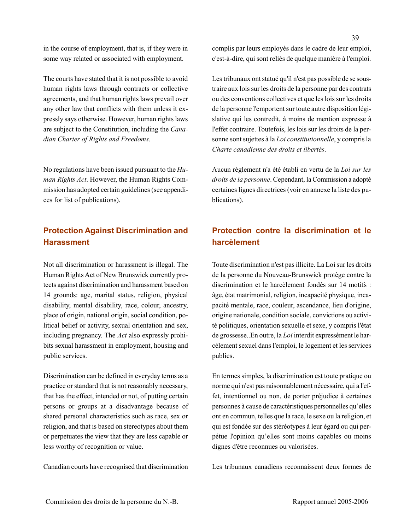in the course of employment, that is, if they were in some way related or associated with employment.

The courts have stated that it is not possible to avoid human rights laws through contracts or collective agreements, and that human rights laws prevail over any other law that conflicts with them unless it expressly says otherwise. However, human rights laws are subject to the Constitution, including the *Canadian Charter of Rights and Freedoms*.

No regulations have been issued pursuant to the *Human Rights Act*. However, the Human Rights Commission has adopted certain guidelines (see appendices for list of publications).

## **Protection Against Discrimination and Harassment**

Not all discrimination or harassment is illegal. The Human Rights Act of New Brunswick currently protects against discrimination and harassment based on 14 grounds: age, marital status, religion, physical disability, mental disability, race, colour, ancestry, place of origin, national origin, social condition, political belief or activity, sexual orientation and sex, including pregnancy. The *Act* also expressly prohibits sexual harassment in employment, housing and public services.

Discrimination can be defined in everyday terms as a practice or standard that is not reasonably necessary, that has the effect, intended or not, of putting certain persons or groups at a disadvantage because of shared personal characteristics such as race, sex or religion, and that is based on stereotypes about them or perpetuates the view that they are less capable or less worthy of recognition or value.

Canadian courts have recognised that discrimination

complis par leurs employés dans le cadre de leur emploi, c'est-à-dire, qui sont reliés de quelque manière à l'emploi.

Les tribunaux ont statué qu'il n'est pas possible de se soustraire aux lois sur les droits de la personne par des contrats ou des conventions collectives et que les lois sur les droits de la personne l'emportent sur toute autre disposition législative qui les contredit, à moins de mention expresse à l'effet contraire. Toutefois, les lois sur les droits de la personne sont sujettes à la *Loi constitutionnelle*, y compris la *Charte canadienne des droits et libertés*.

Aucun règlement n'a été établi en vertu de la *Loi sur les droits de la personne*. Cependant, la Commission a adopté certaines lignes directrices (voir en annexe la liste des publications).

## **Protection contre la discrimination et le harcèlement**

Toute discrimination n'est pas illicite. La Loi sur les droits de la personne du Nouveau-Brunswick protège contre la discrimination et le harcèlement fondés sur 14 motifs : âge, état matrimonial, religion, incapacité physique, incapacité mentale, race, couleur, ascendance, lieu d'origine, origine nationale, condition sociale, convictions ou activité politiques, orientation sexuelle et sexe, y compris l'état de grossesse..En outre, la *Loi* interdit expressément le harcèlement sexuel dans l'emploi, le logement et les services publics.

En termes simples, la discrimination est toute pratique ou norme qui n'est pas raisonnablement nécessaire, qui a l'effet, intentionnel ou non, de porter préjudice à certaines personnes à cause de caractéristiques personnelles qu'elles ont en commun, telles que la race, le sexe ou la religion, et qui est fondée sur des stéréotypes à leur égard ou qui perpétue l'opinion qu'elles sont moins capables ou moins dignes d'être reconnues ou valorisées.

Les tribunaux canadiens reconnaissent deux formes de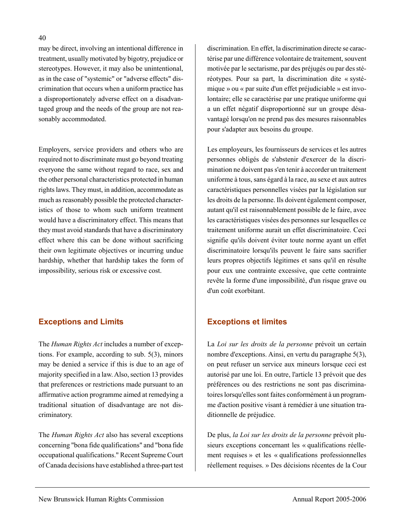may be direct, involving an intentional difference in treatment, usually motivated by bigotry, prejudice or stereotypes. However, it may also be unintentional, as in the case of "systemic" or "adverse effects" discrimination that occurs when a uniform practice has a disproportionately adverse effect on a disadvantaged group and the needs of the group are not reasonably accommodated.

Employers, service providers and others who are required not to discriminate must go beyond treating everyone the same without regard to race, sex and the other personal characteristics protected in human rights laws. They must, in addition, accommodate as much as reasonably possible the protected characteristics of those to whom such uniform treatment would have a discriminatory effect. This means that they must avoid standards that have a discriminatory effect where this can be done without sacrificing their own legitimate objectives or incurring undue hardship, whether that hardship takes the form of impossibility, serious risk or excessive cost.

## **Exceptions and Limits**

The *Human Rights Act* includes a number of exceptions. For example, according to sub. 5(3), minors may be denied a service if this is due to an age of majority specified in a law. Also, section 13 provides that preferences or restrictions made pursuant to an affirmative action programme aimed at remedying a traditional situation of disadvantage are not discriminatory.

The *Human Rights Act* also has several exceptions concerning "bona fide qualifications" and "bona fide occupational qualifications." Recent Supreme Court of Canada decisions have established a three-part test discrimination. En effet, la discrimination directe se caractérise par une différence volontaire de traitement, souvent motivée par le sectarisme, par des préjugés ou par des stéréotypes. Pour sa part, la discrimination dite « systémique » ou « par suite d'un effet préjudiciable » est involontaire; elle se caractérise par une pratique uniforme qui a un effet négatif disproportionné sur un groupe désavantagé lorsqu'on ne prend pas des mesures raisonnables pour s'adapter aux besoins du groupe.

Les employeurs, les fournisseurs de services et les autres personnes obligés de s'abstenir d'exercer de la discrimination ne doivent pas s'en tenir à accorder un traitement uniforme à tous, sans égard à la race, au sexe et aux autres caractéristiques personnelles visées par la législation sur les droits de la personne. Ils doivent également composer, autant qu'il est raisonnablement possible de le faire, avec les caractéristiques visées des personnes sur lesquelles ce traitement uniforme aurait un effet discriminatoire. Ceci signifie qu'ils doivent éviter toute norme ayant un effet discriminatoire lorsqu'ils peuvent le faire sans sacrifier leurs propres objectifs légitimes et sans qu'il en résulte pour eux une contrainte excessive, que cette contrainte revête la forme d'une impossibilité, d'un risque grave ou d'un coût exorbitant.

## **Exceptions et limites**

La *Loi sur les droits de la personne* prévoit un certain nombre d'exceptions. Ainsi, en vertu du paragraphe 5(3), on peut refuser un service aux mineurs lorsque ceci est autorisé par une loi. En outre, l'article 13 prévoit que des préférences ou des restrictions ne sont pas discriminatoires lorsqu'elles sont faites conformément à un programme d'action positive visant à remédier à une situation traditionnelle de préjudice.

De plus, *la Loi sur les droits de la personne* prévoit plusieurs exceptions concernant les « qualifications réellement requises » et les « qualifications professionnelles réellement requises. » Des décisions récentes de la Cour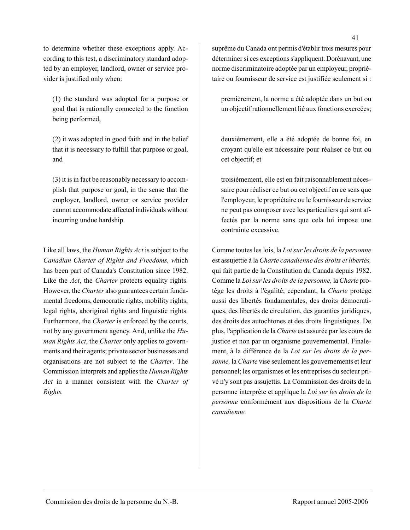to determine whether these exceptions apply. According to this test, a discriminatory standard adopted by an employer, landlord, owner or service provider is justified only when:

(1) the standard was adopted for a purpose or goal that is rationally connected to the function being performed,

(2) it was adopted in good faith and in the belief that it is necessary to fulfill that purpose or goal, and

(3) it is in fact be reasonably necessary to accomplish that purpose or goal, in the sense that the employer, landlord, owner or service provider cannot accommodate affected individuals without incurring undue hardship.

Like all laws, the *Human Rights Act* is subject to the *Canadian Charter of Rights and Freedoms, w*hich has been part of Canada's Constitution since 1982. Like the *Act*, the *Charter* protects equality rights. However, the *Charter* also guarantees certain fundamental freedoms, democratic rights, mobility rights, legal rights, aboriginal rights and linguistic rights. Furthermore, the *Charter* is enforced by the courts, not by any government agency. And, unlike the *Human Rights Act*, the *Charter* only applies to governments and their agents; private sector businesses and organisations are not subject to the *Charter*. The Commission interprets and applies the *Human Rights Act* in a manner consistent with the *Charter of Rights.* 

suprême du Canada ont permis d'établir trois mesures pour déterminer si ces exceptions s'appliquent. Dorénavant, une norme discriminatoire adoptée par un employeur, propriétaire ou fournisseur de service est justifiée seulement si :

premièrement, la norme a été adoptée dans un but ou un objectif rationnellement lié aux fonctions exercées;

deuxièmement, elle a été adoptée de bonne foi, en croyant qu'elle est nécessaire pour réaliser ce but ou cet objectif; et

troisièmement, elle est en fait raisonnablement nécessaire pour réaliser ce but ou cet objectif en ce sens que l'employeur, le propriétaire ou le fournisseur de service ne peut pas composer avec les particuliers qui sont affectés par la norme sans que cela lui impose une contrainte excessive.

Comme toutes les lois, la *Loi sur les droits de la personne* est assujettie à la *Charte canadienne des droits et libertés,* qui fait partie de la Constitution du Canada depuis 1982. Comme la *Loi sur les droits de la personne,* la *Charte* protège les droits à l'égalité; cependant, la *Charte* protège aussi des libertés fondamentales, des droits démocratiques, des libertés de circulation, des garanties juridiques, des droits des autochtones et des droits linguistiques. De plus, l'application de la *Charte* est assurée par les cours de justice et non par un organisme gouvernemental. Finalement, à la différence de la *Loi sur les droits de la personne,* la *Charte* vise seulement les gouvernements et leur personnel; les organismes et les entreprises du secteur privé n'y sont pas assujettis. La Commission des droits de la personne interprète et applique la *Loi sur les droits de la personne* conformément aux dispositions de la *Charte canadienne.*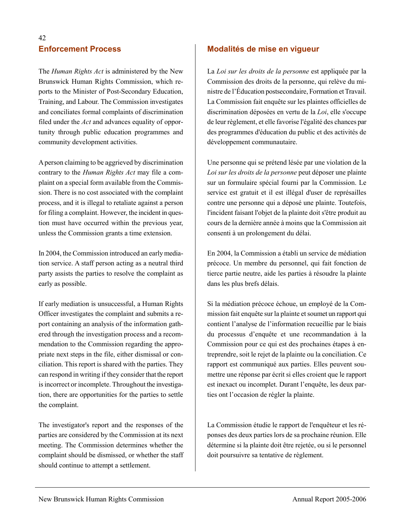## **Enforcement Process**

The *Human Rights Act* is administered by the New Brunswick Human Rights Commission, which reports to the Minister of Post-Secondary Education, Training, and Labour. The Commission investigates and conciliates formal complaints of discrimination filed under the *Act* and advances equality of opportunity through public education programmes and community development activities.

A person claiming to be aggrieved by discrimination contrary to the *Human Rights Act* may file a complaint on a special form available from the Commission. There is no cost associated with the complaint process, and it is illegal to retaliate against a person for filing a complaint. However, the incident in question must have occurred within the previous year, unless the Commission grants a time extension.

In 2004, the Commission introduced an early mediation service. A staff person acting as a neutral third party assists the parties to resolve the complaint as early as possible.

If early mediation is unsuccessful, a Human Rights Officer investigates the complaint and submits a report containing an analysis of the information gathered through the investigation process and a recommendation to the Commission regarding the appropriate next steps in the file, either dismissal or conciliation. This report is shared with the parties. They can respond in writing if they consider that the report is incorrect or incomplete. Throughout the investigation, there are opportunities for the parties to settle the complaint.

The investigator's report and the responses of the parties are considered by the Commission at its next meeting. The Commission determines whether the complaint should be dismissed, or whether the staff should continue to attempt a settlement.

### **Modalités de mise en vigueur**

La *Loi sur les droits de la personne* est appliquée par la Commission des droits de la personne, qui relève du ministre de l'Éducation postsecondaire, Formation et Travail. La Commission fait enquête sur les plaintes officielles de discrimination déposées en vertu de la *Loi*, elle s'occupe de leur règlement, et elle favorise l'égalité des chances par des programmes d'éducation du public et des activités de développement communautaire.

Une personne qui se prétend lésée par une violation de la *Loi sur les droits de la personne* peut déposer une plainte sur un formulaire spécial fourni par la Commission. Le service est gratuit et il est illégal d'user de représailles contre une personne qui a déposé une plainte. Toutefois, l'incident faisant l'objet de la plainte doit s'être produit au cours de la dernière année à moins que la Commission ait consenti à un prolongement du délai.

En 2004, la Commission a établi un service de médiation précoce. Un membre du personnel, qui fait fonction de tierce partie neutre, aide les parties à résoudre la plainte dans les plus brefs délais.

Si la médiation précoce échoue, un employé de la Commission fait enquête sur la plainte et soumet un rapport qui contient l'analyse de l'information recueillie par le biais du processus d'enquête et une recommandation à la Commission pour ce qui est des prochaines étapes à entreprendre, soit le rejet de la plainte ou la conciliation. Ce rapport est communiqué aux parties. Elles peuvent soumettre une réponse par écrit si elles croient que le rapport est inexact ou incomplet. Durant l'enquête, les deux parties ont l'occasion de régler la plainte.

La Commission étudie le rapport de l'enquêteur et les réponses des deux parties lors de sa prochaine réunion. Elle détermine si la plainte doit être rejetée, ou si le personnel doit poursuivre sa tentative de règlement.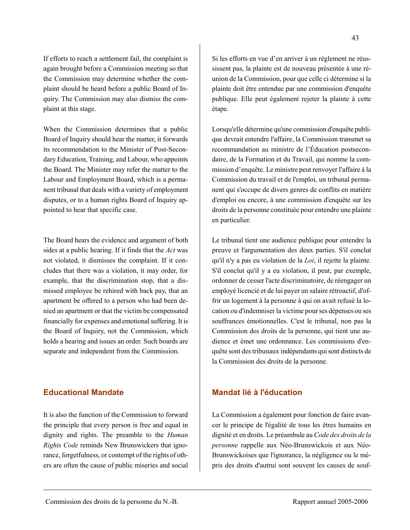If efforts to reach a settlement fail, the complaint is again brought before a Commission meeting so that the Commission may determine whether the complaint should be heard before a public Board of Inquiry. The Commission may also dismiss the complaint at this stage.

When the Commission determines that a public Board of Inquiry should hear the matter, it forwards its recommendation to the Minister of Post-Secondary Education, Training, and Labour, who appoints the Board. The Minister may refer the matter to the Labour and Employment Board, which is a permanent tribunal that deals with a variety of employment disputes, or to a human rights Board of Inquiry appointed to hear that specific case.

The Board hears the evidence and argument of both sides at a public hearing. If it finds that the *Act* was not violated, it dismisses the complaint. If it concludes that there was a violation, it may order, for example, that the discrimination stop, that a dismissed employee be rehired with back pay, that an apartment be offered to a person who had been denied an apartment or that the victim be compensated financially for expenses and emotional suffering. It is the Board of Inquiry, not the Commission, which holds a hearing and issues an order. Such boards are separate and independent from the Commission.

### **Educational Mandate**

It is also the function of the Commission to forward the principle that every person is free and equal in dignity and rights. The preamble to the *Human Rights Code* reminds New Brunswickers that ignorance, forgetfulness, or contempt of the rights of others are often the cause of public miseries and social

Si les efforts en vue d'en arriver à un règlement ne réussissent pas, la plainte est de nouveau présentée à une réunion de la Commission, pour que celle ci détermine si la plainte doit être entendue par une commission d'enquête publique. Elle peut également rejeter la plainte à cette étape.

Lorsqu'elle détermine qu'une commission d'enquête publique devrait entendre l'affaire, la Commission transmet sa recommandation au ministre de l'Éducation postsecondaire, de la Formation et du Travail, qui nomme la commission d'enquête. Le ministre peut renvoyer l'affaire à la Commission du travail et de l'emploi, un tribunal permanent qui s'occupe de divers genres de conflits en matière d'emploi ou encore, à une commission d'enquête sur les droits de la personne constituée pour entendre une plainte en particulier.

Le tribunal tient une audience publique pour entendre la preuve et l'argumentation des deux parties. S'il conclut qu'il n'y a pas eu violation de la *Loi*, il rejette la plainte. S'il conclut qu'il y a eu violation, il peut, par exemple, ordonner de cesser l'acte discriminatoire, de réengager un employé licencié et de lui payer un salaire rétroactif, d'offrir un logement à la personne à qui on avait refusé la location ou d'indemniser la victime pour ses dépenses ou ses souffrances émotionnelles. C'est le tribunal, non pas la Commission des droits de la personne, qui tient une audience et émet une ordonnance. Les commissions d'enquête sont des tribunaux indépendants qui sont distincts de la Commission des droits de la personne.

#### **Mandat lié à l'éducation**

La Commission a également pour fonction de faire avancer le principe de l'égalité de tous les êtres humains en dignité et en droits. Le préambule au *Code des droits de la personne* rappelle aux Néo-Brunswickois et aux Néo-Brunswickoises que l'ignorance, la négligence ou le mépris des droits d'autrui sont souvent les causes de souf-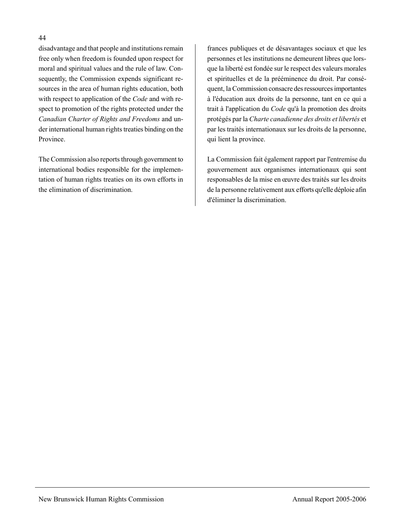#### 44

disadvantage and that people and institutions remain free only when freedom is founded upon respect for moral and spiritual values and the rule of law. Consequently, the Commission expends significant resources in the area of human rights education, both with respect to application of the *Code* and with respect to promotion of the rights protected under the *Canadian Charter of Rights and Freedoms* and under international human rights treaties binding on the Province.

The Commission also reports through government to international bodies responsible for the implementation of human rights treaties on its own efforts in the elimination of discrimination.

frances publiques et de désavantages sociaux et que les personnes et les institutions ne demeurent libres que lorsque la liberté est fondée sur le respect des valeurs morales et spirituelles et de la prééminence du droit. Par conséquent, la Commission consacre des ressources importantes à l'éducation aux droits de la personne, tant en ce qui a trait à l'application du *Code* qu'à la promotion des droits protégés par la *Charte canadienne des droits et libertés* et par les traités internationaux sur les droits de la personne, qui lient la province.

La Commission fait également rapport par l'entremise du gouvernement aux organismes internationaux qui sont responsables de la mise en œuvre des traités sur les droits de la personne relativement aux efforts qu'elle déploie afin d'éliminer la discrimination.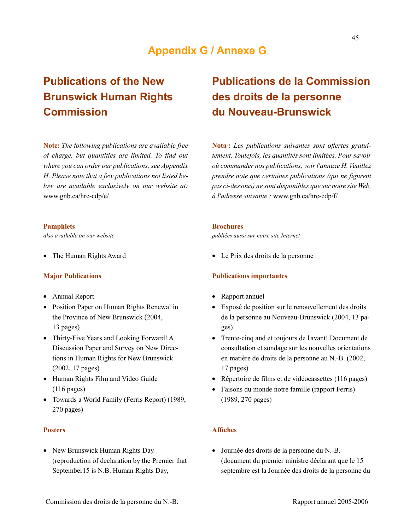## **Appendix G / Annexe G**

## **Publications of the New Brunswick Human Rights Commission**

**Note:** *The following publications are available free of charge, but quantities are limited. To find out where you can order our publications, see Appendix H. Please note that a few publications not listed below are available exclusively on our website at:*  www.gnb.ca/hrc-cdp/e/

#### **Pamphlets**

*also available on our website* 

• The Human Rights Award

#### **Major Publications**

- Annual Report
- Position Paper on Human Rights Renewal in the Province of New Brunswick (2004, 13 pages)
- Thirty-Five Years and Looking Forward! A Discussion Paper and Survey on New Directions in Human Rights for New Brunswick (2002, 17 pages)
- Human Rights Film and Video Guide (116 pages)
- Towards a World Family (Ferris Report) (1989, 270 pages)

#### **Posters**

• New Brunswick Human Rights Day (reproduction of declaration by the Premier that September15 is N.B. Human Rights Day,

## **Publications de la Commission des droits de la personne du Nouveau-Brunswick**

**Nota :** *Les publications suivantes sont offertes gratuitement. Toutefois, les quantités sont limitées. Pour savoir où commander nos publications, voir l'annexe H. Veuillez prendre note que certaines publications (qui ne figurent pas ci-dessous) ne sont disponibles que sur notre site Web, à l'adresse suivante :* www.gnb.ca/hrc-cdp/f/

#### **Brochures**

*publiées aussi sur notre site Internet* 

• Le Prix des droits de la personne

#### **Publications importantes**

- Rapport annuel
- Exposé de position sur le renouvellement des droits de la personne au Nouveau-Brunswick (2004, 13 pages)
- Trente-cinq and et toujours de l'avant! Document de consultation et sondage sur les nouvelles orientations en matière de droits de la personne au N.-B. (2002, 17 pages)
- Répertoire de films et de vidéocassettes (116 pages)
- Faisons du monde notre famille (rapport Ferris) (1989, 270 pages)

#### **Affiches**

• Journée des droits de la personne du N.-B. (document du premier ministre déclarant que le 15 septembre est la Journée des droits de la personne du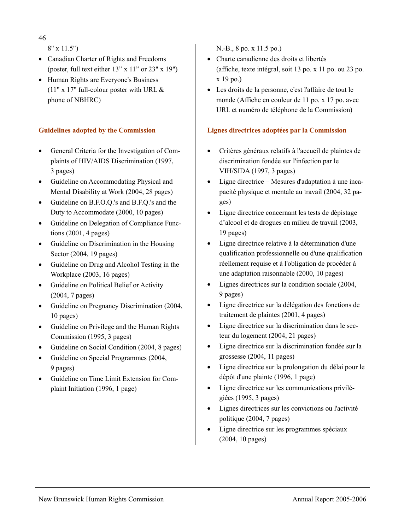46

8" x 11.5")

- Canadian Charter of Rights and Freedoms (poster, full text either  $13" \times 11"$  or  $23" \times 19"$ )
- Human Rights are Everyone's Business (11" x 17" full-colour poster with URL  $\&$ phone of NBHRC)

### **Guidelines adopted by the Commission**

- General Criteria for the Investigation of Complaints of HIV/AIDS Discrimination (1997, 3 pages)
- Guideline on Accommodating Physical and Mental Disability at Work (2004, 28 pages)
- Guideline on B.F.O.Q.'s and B.F.Q.'s and the Duty to Accommodate (2000, 10 pages)
- Guideline on Delegation of Compliance Functions (2001, 4 pages)
- Guideline on Discrimination in the Housing Sector (2004, 19 pages)
- Guideline on Drug and Alcohol Testing in the Workplace (2003, 16 pages)
- Guideline on Political Belief or Activity (2004, 7 pages)
- Guideline on Pregnancy Discrimination (2004, 10 pages)
- Guideline on Privilege and the Human Rights Commission (1995, 3 pages)
- Guideline on Social Condition (2004, 8 pages)
- Guideline on Special Programmes (2004, 9 pages)
- Guideline on Time Limit Extension for Complaint Initiation (1996, 1 page)

N.-B., 8 po. x 11.5 po.)

- Charte canadienne des droits et libertés (affiche, texte intégral, soit 13 po. x 11 po. ou 23 po. x 19 po.)
- Les droits de la personne, c'est l'affaire de tout le monde (Affiche en couleur de 11 po. x 17 po. avec URL et numéro de téléphone de la Commission)

### **Lignes directrices adoptées par la Commission**

- Critères généraux relatifs à l'accueil de plaintes de discrimination fondée sur l'infection par le VIH/SIDA (1997, 3 pages)
- Ligne directrice Mesures d'adaptation à une incapacité physique et mentale au travail (2004, 32 pages)
- Ligne directrice concernant les tests de dépistage d'alcool et de drogues en milieu de travail (2003, 19 pages)
- Ligne directrice relative à la détermination d'une qualification professionnelle ou d'une qualification réellement requise et à l'obligation de procéder à une adaptation raisonnable (2000, 10 pages)
- Lignes directrices sur la condition sociale (2004, 9 pages)
- Ligne directrice sur la délégation des fonctions de traitement de plaintes (2001, 4 pages)
- Ligne directrice sur la discrimination dans le secteur du logement (2004, 21 pages)
- Ligne directrice sur la discrimination fondée sur la grossesse (2004, 11 pages)
- Ligne directrice sur la prolongation du délai pour le dépôt d'une plainte (1996, 1 page)
- Ligne directrice sur les communications privilégiées (1995, 3 pages)
- Lignes directrices sur les convictions ou l'activité politique (2004, 7 pages)
- Ligne directrice sur les programmes spéciaux (2004, 10 pages)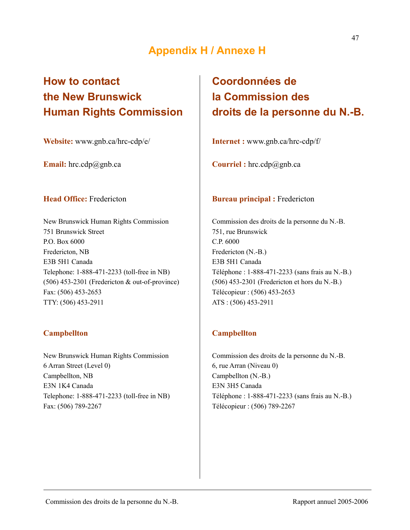## **Appendix H / Annexe H**

## **How to contact the New Brunswick Human Rights Commission**

**Website:** www.gnb.ca/hrc-cdp/e/

**Email:** hrc.cdp@gnb.ca

#### **Head Office:** Fredericton

New Brunswick Human Rights Commission 751 Brunswick Street P.O. Box 6000 Fredericton, NB E3B 5H1 Canada Telephone: 1-888-471-2233 (toll-free in NB) (506) 453-2301 (Fredericton & out-of-province) Fax: (506) 453-2653 TTY: (506) 453-2911

### **Campbellton**

New Brunswick Human Rights Commission 6 Arran Street (Level 0) Campbellton, NB E3N 1K4 Canada Telephone: 1-888-471-2233 (toll-free in NB) Fax: (506) 789-2267

## **Coordonnées de la Commission des droits de la personne du N.-B.**

**Internet :** www.gnb.ca/hrc-cdp/f/

**Courriel :** hrc.cdp@gnb.ca

#### **Bureau principal :** Fredericton

Commission des droits de la personne du N.-B. 751, rue Brunswick C.P. 6000 Fredericton (N.-B.) E3B 5H1 Canada Téléphone : 1-888-471-2233 (sans frais au N.-B.) (506) 453-2301 (Fredericton et hors du N.-B.) Télécopieur : (506) 453-2653 ATS : (506) 453-2911

### **Campbellton**

Commission des droits de la personne du N.-B. 6, rue Arran (Niveau 0) Campbellton (N.-B.) E3N 3H5 Canada Téléphone : 1-888-471-2233 (sans frais au N.-B.) Télécopieur : (506) 789-2267